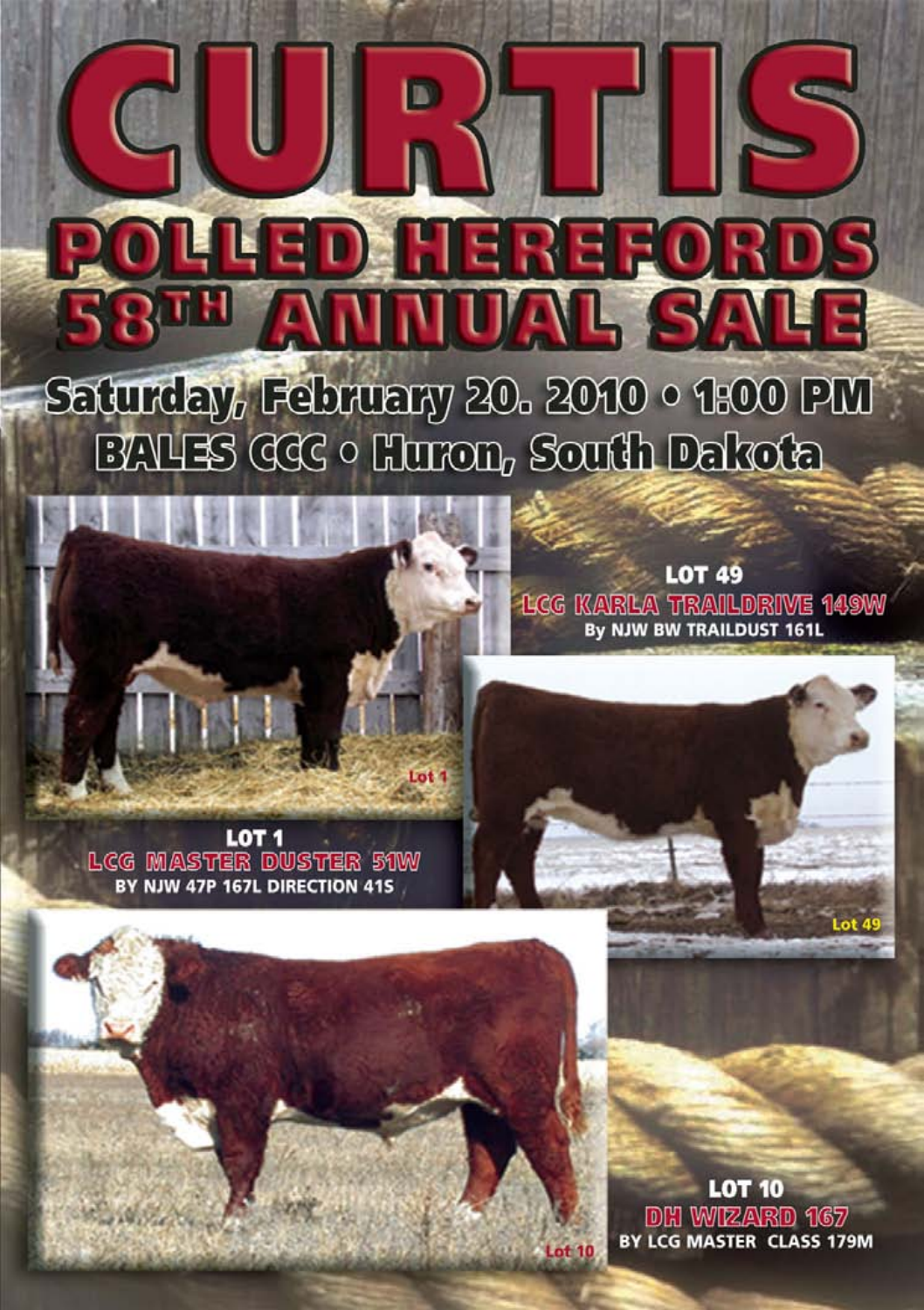# Saturday, February 20. 2010 · 1:00 PM EAUS GGC · Huron, South Dakota

ER

 $\mathbb{Z}$ 

E 20

D



**580H** 

**LOT 49** LCG KARLA TRAILDRIVE 149W By NJW BW TRAILDUST 161L

SANE

E

LOT<sub>1</sub> **LCG MASTER DUSTER 51W** BY NJW 47P 167L DIRECTION 41S

> **LOT 10 DH WIZARD 167** BY LCG MASTER CLASS 179M

**Lot 10**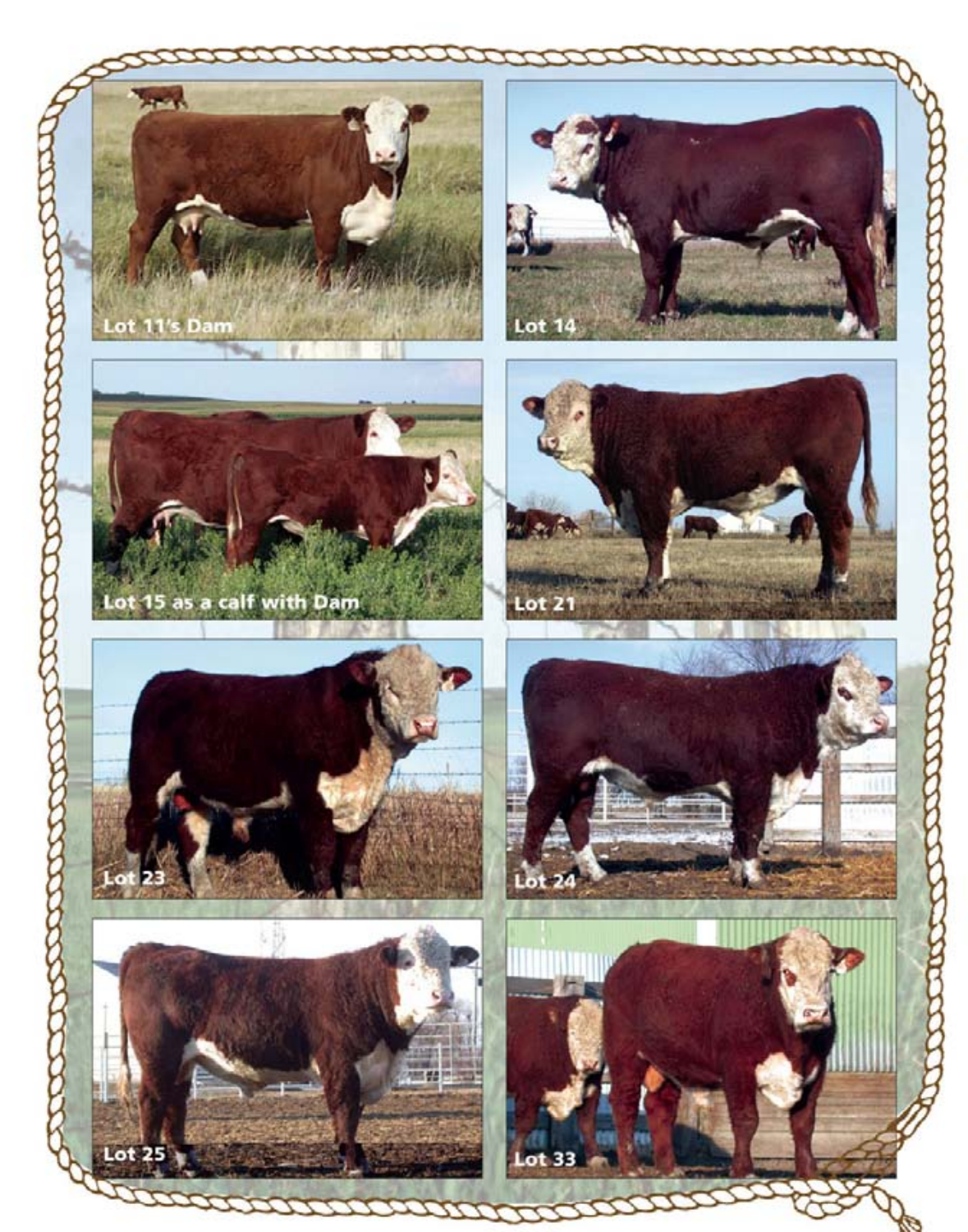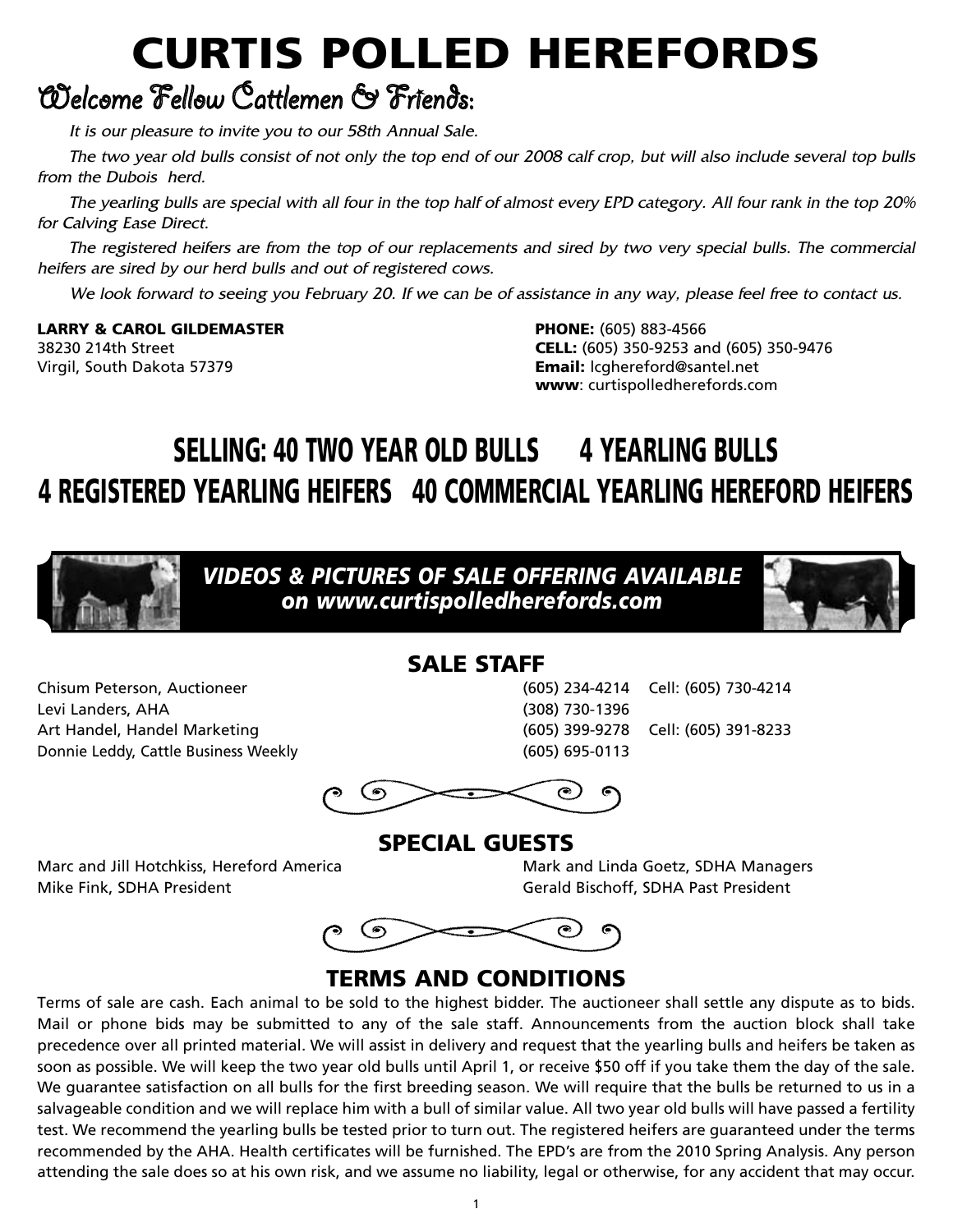# **CURTIS POLLED HEREFORDS**

## Welcome Fellow Cattlemen & Friends:

It is our pleasure to invite you to our 58th Annual Sale.

The two year old bulls consist of not only the top end of our 2008 calf crop, but will also include several top bulls from the Dubois herd.

The yearling bulls are special with all four in the top half of almost every EPD category. All four rank in the top 20% for Calving Ease Direct.

The registered heifers are from the top of our replacements and sired by two very special bulls. The commercial heifers are sired by our herd bulls and out of registered cows.

We look forward to seeing you February 20. If we can be of assistance in any way, please feel free to contact us.

**LARRY & CAROL GILDEMASTER PHONE:** (605) 883-4566

38230 214th Street **CELL:** (605) 350-9253 and (605) 350-9476 Virgil, South Dakota 57379 **Email:** lcghereford@santel.net **www**: curtispolledherefords.com

## **SELLING: 40 TWO YEAR OLD BULLS 4 YEARLING BULLS 4 REGISTERED YEARLING HEIFERS 40 COMMERCIAL YEARLING HEREFORD HEIFERS**



*VIDEOS & PICTURES OF SALE OFFERING AVAILABLE on www.curtispolledherefords.com*



## **SALE STAFF**

Chisum Peterson, Auctioneer (605) 234-4214 Cell: (605) 730-4214 Levi Landers, AHA (308) 730-1396 Art Handel, Handel Marketing (605) 399-9278 Cell: (605) 391-8233 Donnie Leddy, Cattle Business Weekly (605) 695-0113

 $\odot$ 

**SPECIAL GUESTS**

Marc and Jill Hotchkiss, Hereford America **Mark and Linda Goetz, SDHA Managers** Mike Fink, SDHA President Gerald Bischoff, SDHA Past President



### **TERMS AND CONDITIONS**

Terms of sale are cash. Each animal to be sold to the highest bidder. The auctioneer shall settle any dispute as to bids. Mail or phone bids may be submitted to any of the sale staff. Announcements from the auction block shall take precedence over all printed material. We will assist in delivery and request that the yearling bulls and heifers be taken as soon as possible. We will keep the two year old bulls until April 1, or receive \$50 off if you take them the day of the sale. We guarantee satisfaction on all bulls for the first breeding season. We will require that the bulls be returned to us in a salvageable condition and we will replace him with a bull of similar value. All two year old bulls will have passed a fertility test. We recommend the yearling bulls be tested prior to turn out. The registered heifers are guaranteed under the terms recommended by the AHA. Health certificates will be furnished. The EPD's are from the 2010 Spring Analysis. Any person attending the sale does so at his own risk, and we assume no liability, legal or otherwise, for any accident that may occur.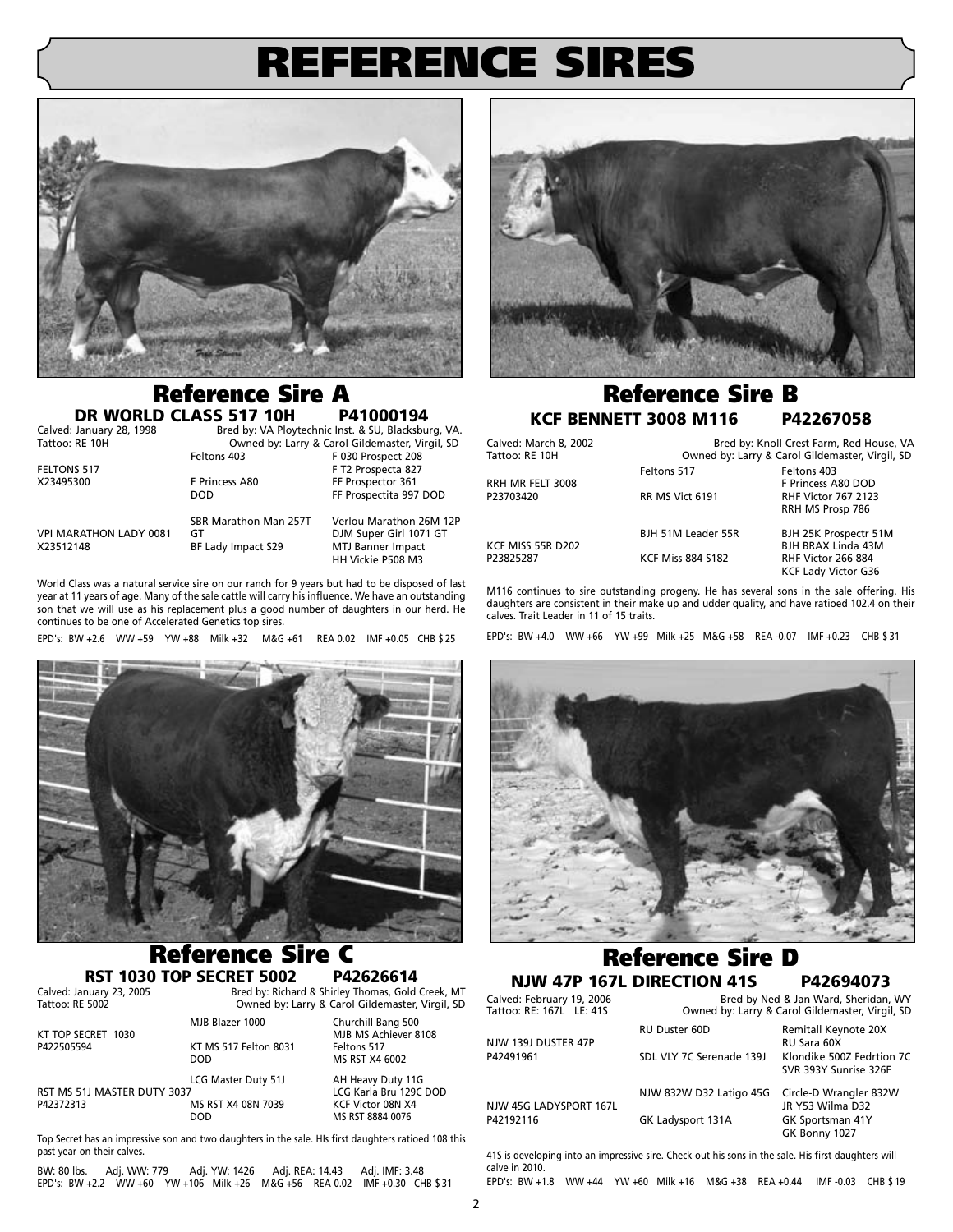## **REFERENCE SIRES**



## **Reference Sire A**<br>**D CLASS 517 10H** P41000194

**DR WORLD CLASS 517 10H**<br>Calved: January 28, 1998 Bred by: VA Ployi Calved: January 28, 1998 Bred by: VA Ploytechnic Inst. & SU, Blacksburg, VA.<br>Tattoo: RE 10H Cowned by: Larry & Carol Gildemaster, Virgil, SD

Owned by: Larry & Carol Gildemaster, Virgil, SD<br>Feltons 403 F 030 Prospect 208 FELTONS 517 F T2 Prospecta 827 DOD FF Prospectita 997 DOD

VPI MARATHON LADY 0081 GT<br>
X23512148 BF Lady Impact S29 MTJ Banner Impact

BF Lady Impact S29

SBR Marathon Man 257T Verlou Marathon 26M 12P HH Vickie P508 M3

F 030 Prospect 208

FF Prospector 361

World Class was a natural service sire on our ranch for 9 years but had to be disposed of last year at 11 years of age. Many of the sale cattle will carry his influence. We have an outstanding son that we will use as his replacement plus a good number of daughters in our herd. He continues to be one of Accelerated Genetics top sires.

EPD's: BW +2.6 WW +59 YW +88 Milk +32 M&G +61 REA 0.02 IMF +0.05 CHB \$ 25



## **Reference Sire C**

**RST 1030 TOP SECRET 5002**<br>Calved: January 23, 2005<br>Bred by: Richar Calved: January 23, 2005<br>
Bred by: Richard & Shirley Thomas, Gold Creek, MT<br>
Tattoo: RE 5002<br>
Owned by: Larry & Carol Gildemaster. Virgil. SD Owned by: Larry & Carol Gildemaster, Virgil, SD

| KT TOP SECRET 1030                       | MJB Blazer 1000                                  | Churchill Bang 500<br>MJB MS Achiever 8108                                           |
|------------------------------------------|--------------------------------------------------|--------------------------------------------------------------------------------------|
| P422505594                               | KT MS 517 Felton 8031<br><b>DOD</b>              | Feltons 517<br>MS RST X4 6002                                                        |
| RST MS 51J MASTER DUTY 3037<br>P42372313 | LCG Master Duty 51J<br>MS RST X4 08N 7039<br>DOD | AH Heavy Duty 11G<br>LCG Karla Bru 129C DOD<br>KCF Victor 08N X4<br>MS RST 8884 0076 |

Top Secret has an impressive son and two daughters in the sale. HIs first daughters ratioed 108 this past year on their calves.

BW: 80 lbs. Adj. WW: 779 Adj. YW: 1426 Adj. REA: 14.43 Adj. IMF: 3.48 EPD's: BW +2.2 WW +60 YW +106 Milk +26 M&G +56 REA 0.02 IMF +0.30 CHB \$ 31



### **Reference Sire B KCF BENNETT 3008 M116 P42267058**

Calved: March 8, 2002 **Bred by: Knoll Crest Farm, Red House, VA**<br>Tattoo: RE 10H **Bream Comed by: Larry & Carol Gildemaster, Virgil, SD** Owned by: Larry & Carol Gildemaster, Virgil, SD Feltons 517 Feltons 403 RRH MR FELT 3008 FRINCES A80 DOD<br>P23703420 FR MS Vict 6191 FR RHF Victor 767 2123 RHF Victor 767 2123 RRH MS Prosp 786 BJH 51M Leader 55R BJH 25K Prospectr 51M KCF MISS 55R D202<br>
P23825287 BJH BRAX Linda 43M<br>
P23825287 BHF Victor 266 884 RHF Victor 266 884 KCF Lady Victor G36

M116 continues to sire outstanding progeny. He has several sons in the sale offering. His daughters are consistent in their make up and udder quality, and have ratioed 102.4 on their calves. Trait Leader in 11 of 15 traits.

EPD's: BW +4.0 WW +66 YW +99 Milk +25 M&G +58 REA -0.07 IMF +0.23 CHB \$ 31



## **Reference Sire D**

**NJW 47P 167L DIRECTION 41S**<br>Calved: February 19, 2006<br>Tattoo: RE: 167L LE: 415 Owned by: Larry & Carol Gildemaster, Virgil Bred by Ned & Jan Ward, Sheridan, WY Owned by: Larry & Carol Gildemaster, Virgil, SD RU Duster 60D Remitall Keynote 20X NJW 139J DUSTER 47P<br>P42491961 SDL VLY 7C Serenade 139J Klondike 500Z Fedrtion 7C

NJW 45G LADYSPORT 167L<br>P42192116

NJW 832W D32 Latigo 45G Circle-D Wrangler 832W GK Ladysport 131A GK Sportsman 41Y

SVR 393Y Sunrise 326F GK Bonny 1027

41S is developing into an impressive sire. Check out his sons in the sale. His first daughters will calve in 2010.

EPD's: BW +1.8 WW +44 YW +60 Milk +16 M&G +38 REA +0.44 IMF -0.03 CHB \$ 19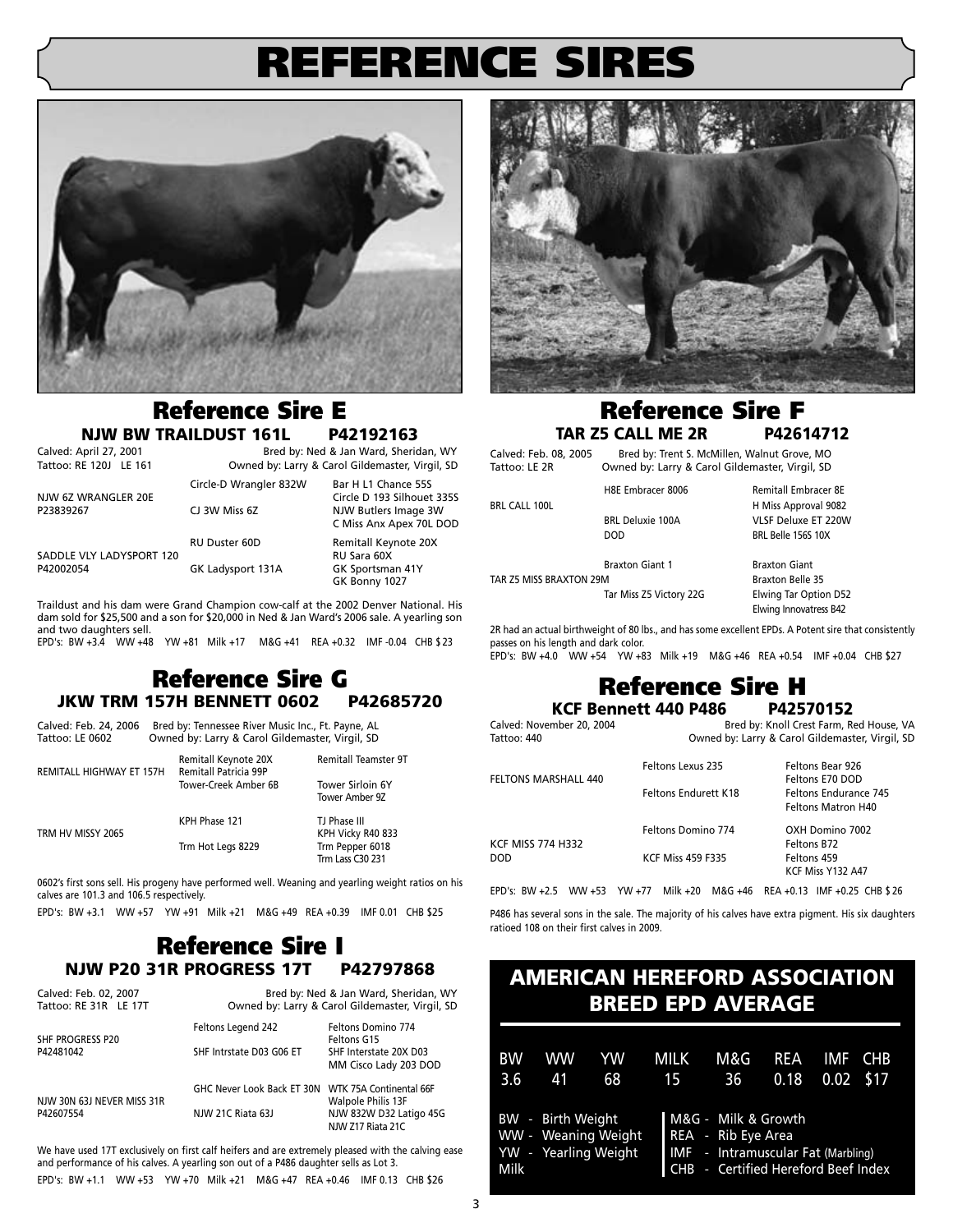## **REFERENCE SIRES**



### **Reference Sire E NJW BW TRAILDUST 161L P42192163**<br>Calved: April 27, 2001 Bred by: Ned & Jan Ward, Sheric

Calved: April 27, 2001 **Bred by: Ned & Jan Ward, Sheridan, WY**<br>Tattoo: RE 120J LE 161 **Bread by: Larry & Carol Gildemaster, Virgil, SD** Owned by: Larry & Carol Gildemaster, Virgil, SD Circle-D Wrangler 832W Bar H L1 Chance 55S

> NJW Butlers Image 3W C Miss Anx Apex 70L DOD

NJW 6Z WRANGLER 20E CJ 3W Miss 6Z<br>
23839267 CJ 3W Miss 6Z CJ 3W MIX Butlers Image 3W

RU Duster 60D Remitall Keynote 20X SADDLE VLY LADYSPORT 120<br>P42002054 GK Ladysport 131A GK Sportsman 41Y

GK Bonny 1027 Traildust and his dam were Grand Champion cow-calf at the 2002 Denver National. His dam sold for \$25,500 and a son for \$20,000 in Ned & Jan Ward's 2006 sale. A yearling son and two daughters sell.

EPD's: BW +3.4 WW +48 YW +81 Milk +17 M&G +41 REA +0.32 IMF -0.04 CHB \$ 23

### **Reference Sire G JKW TRM 157H BENNETT 0602 P42685720**

Calved: Feb. 24, 2006 Bred by: Tennessee River Music Inc., Ft. Payne, AL<br>Tattoo: LE 0602 Owned by: Larry & Carol Gildemaster. Virgil. SD Owned by: Larry & Carol Gildemaster, Virgil, SD

| REMITALL HIGHWAY ET 157H | Remitall Keynote 20X<br>Remitall Patricia 99P<br>Tower-Creek Amber 6B | <b>Remitall Teamster 9T</b><br><b>Tower Sirloin 6Y</b> |
|--------------------------|-----------------------------------------------------------------------|--------------------------------------------------------|
|                          |                                                                       | Tower Amber 9Z                                         |
| TRM HV MISSY 2065        | KPH Phase 121                                                         | TJ Phase III<br>KPH Vicky R40 833                      |
|                          | Trm Hot Legs 8229                                                     | Trm Pepper 6018<br>Trm Lass C30 231                    |

0602's first sons sell. His progeny have performed well. Weaning and yearling weight ratios on his calves are 101.3 and 106.5 respectively.

EPD's: BW +3.1 WW +57 YW +91 Milk +21 M&G +49 REA +0.39 IMF 0.01 CHB \$25

### **Reference Sire I NJW P20 31R PROGRESS 17T P42797868**

| Calved: Feb. 02, 2007<br>Tattoo: RE 31R LE 17T | Bred by: Ned & Jan Ward, Sheridan, WY<br>Owned by: Larry & Carol Gildemaster, Virgil, SD |                                                 |  |
|------------------------------------------------|------------------------------------------------------------------------------------------|-------------------------------------------------|--|
| SHF PROGRESS P20                               | Feltons Legend 242                                                                       | Feltons Domino 774<br>Feltons G15               |  |
| P42481042                                      | SHF Intrstate D03 G06 ET                                                                 | SHF Interstate 20X D03<br>MM Cisco Lady 203 DOD |  |
| NJW 30N 63J NEVER MISS 31R                     | GHC Never Look Back ET 30N WTK 75A Continental 66F                                       | Walpole Philis 13F                              |  |
| P42607554                                      | NJW 21C Riata 63J                                                                        | NJW 832W D32 Latigo 45G<br>NJW Z17 Riata 21C    |  |

We have used 17T exclusively on first calf heifers and are extremely pleased with the calving ease and performance of his calves. A yearling son out of a P486 daughter sells as Lot 3.

EPD's: BW +1.1 WW +53 YW +70 Milk +21 M&G +47 REA +0.46 IMF 0.13 CHB \$26



### **Reference Sire F TAR Z5 CALL ME 2R P42614712**

Calved: Feb. 08, 2005 Bred by: Trent S. McMillen, Walnut Grove, MO Tattoo: LE 2R Owned by: Larry & Carol Gildemaster, Virgil, SD H8E Embracer 8006 Remitall Embracer 8E BRL CALL 100L **H** Miss Approval 9082

BRL Deluxie 100A VLSF Deluxe ET 220W DOD BRL Belle 156S 10X **Braxton Giant 1** Braxton Giant TAR Z5 MISS BRAXTON 29M BRAXTON 29M

Tar Miss Z5 Victory 22G Elwing Tar Option D52 Elwing Innovatress B42

2R had an actual birthweight of 80 lbs., and has some excellent EPDs. A Potent sire that consistently passes on his length and dark color.

EPD's: BW +4.0 WW +54 YW +83 Milk +19 M&G +46 REA +0.54 IMF +0.04 CHB \$27

## **Reference Sire H**<br>ennett 440 P486 P42570152

**KCF Bennett 440 P486**<br><sup>E</sup> Galved: November 20, 2004

Bred by: Knoll Crest Farm, Red House, VA Tattoo: 440 Owned by: Larry & Carol Gildemaster, Virgil, SD

| <b>FELTONS MARSHALL 440</b> | Feltons Lexus 235<br>Feltons Endurett K18 | Feltons Bear 926<br>Feltons E70 DOD<br>Feltons Endurance 745<br><b>Feltons Matron H40</b> |
|-----------------------------|-------------------------------------------|-------------------------------------------------------------------------------------------|
| <b>KCF MISS 774 H332</b>    | Feltons Domino 774                        | OXH Domino 7002<br>Feltons B72                                                            |
| DOD                         | <b>KCF Miss 459 F335</b>                  | Feltons 459<br>KCF Miss Y132 A47                                                          |

EPD's: BW +2.5 WW +53 YW +77 Milk +20 M&G +46 REA +0.13 IMF +0.25 CHB \$ 26

P486 has several sons in the sale. The majority of his calves have extra pigment. His six daughters ratioed 108 on their first calves in 2009.

### **AMERICAN HEREFORD ASSOCIATION BREED EPD AVERAGE**

| <b>BW</b> | <b>WW</b>         | YW                                          | <b>MILK</b> | M&G                                                                                                                    | REA  | IMF         | <b>CHB</b> |
|-----------|-------------------|---------------------------------------------|-------------|------------------------------------------------------------------------------------------------------------------------|------|-------------|------------|
| 3.6       | 41                | 68                                          | 15          | - 36                                                                                                                   | 0.18 | $0.02$ \$17 |            |
| Milk      | BW - Birth Weight | WW - Weaning Weight<br>YW - Yearling Weight |             | M&G - Milk & Growth<br>REA - Rib Eye Area<br>IMF - Intramuscular Fat (Marbling)<br>CHB - Certified Hereford Beef Index |      |             |            |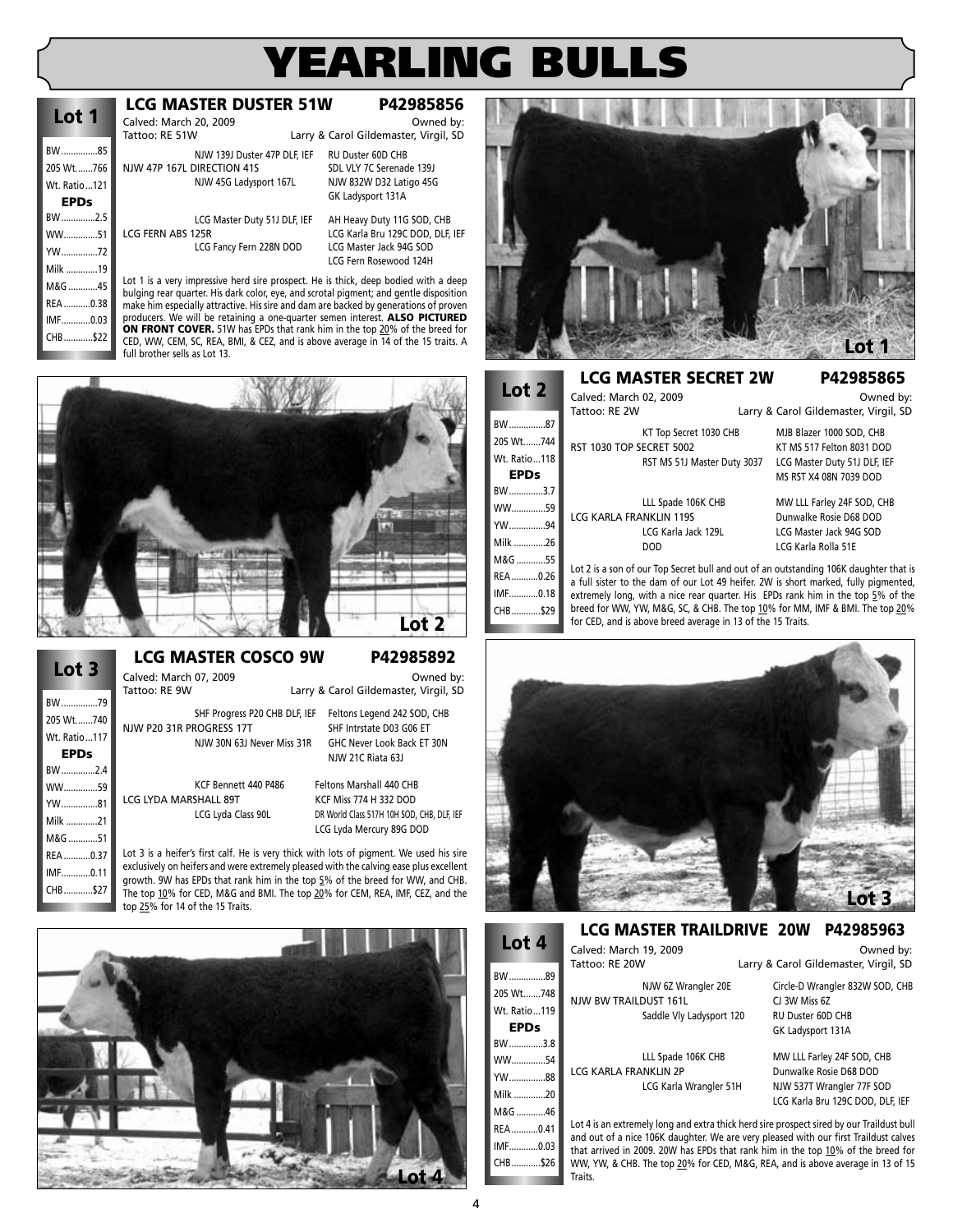## **EARLING BU**

| Lot 1        |  |
|--------------|--|
| BW85         |  |
| 205 Wt766    |  |
| Wt. Ratio121 |  |
| EPDs         |  |
| BW2.5        |  |
| WW51         |  |
| YW72         |  |
| Milk 19      |  |
| M&G 45       |  |
| REA0.38      |  |
| IMF0.03      |  |
| CHB\$22      |  |
|              |  |

**Lot 3**

BW ...............79 205 Wt.......740 Wt. Ratio...117 **EPDs**  $RIM$   $2A$ WW..............59 YW...............81 Milk .............21 M&G ............51 REA ...........0.37 IMF............0.11 CHB............\$27

### **LCG MASTER DUSTER 51W P42985856**

Calved: March 20, 2009<br>
Tattoo: RF 51W **Depart of Larry & Carol Gildemaster Virgil SD** 

Larry & Carol Gildemaster, Virgil, SD NJW 139J Duster 47P DLF, IEF RU Duster 60D CHB NJW 47P 167L DIRECTION 41S<br>NJW 45G Ladysport 167L NJW 832W D32 Latigo 45G

LCG Master Duty 51J DLF, IEF AH Heavy Duty 11G SOD, CHB LCG FERN ABS 125R LCG Karla Bru 129C DOD, DLF, IEF LCG Fancy Fern 228N DOD

GK Ladysport 131A LCG Fern Rosewood 124H

NJW 832W D32 Latigo 45G

Lot 1 is a very impressive herd sire prospect. He is thick, deep bodied with a deep bulging rear quarter. His dark color, eye, and scrotal pigment; and gentle disposition make him especially attractive. His sire and dam are backed by generations of proven producers. We will be retaining a one-quarter semen interest. **ALSO PICTURED ON FRONT COVER.** 51W has EPDs that rank him in the top 20% of the breed for



### **LCG MASTER COSCO 9W P42985892**

.<br>Calved: March 07, 2009 Carry & Carol Gildemaster, Virgil, SD<br>Larry & Carol Gildemaster, Virgil, SD

Larry & Carol Gildemaster, Virgil, SD SHF Progress P20 CHB DLF, IEF Feltons Legend 242 SOD, CHB NJW P20 31R PROGRESS 17T SHF Intrstate D03 G06 ET

NJW 30N 63J Never Miss 31R GHC Never Look Back ET 30N NJW 21C Riata 63J

LCG LYDA MARSHALL 89T KCF Miss 774 H 332 DOD

KCF Bennett 440 P486 Feltons Marshall 440 CHB LCG Lyda Class 90L DR World Class 517H 10H SOD, CHB, DLF, IEF LCG Lyda Mercury 89G DOD

Lot 3 is a heifer's first calf. He is very thick with lots of pigment. We used his sire exclusively on heifers and were extremely pleased with the calving ease plus excellent growth. 9W has EPDs that rank him in the top 5% of the breed for WW, and CHB.





**Lot 2**

 $BW...$ **WW**  $YW$ ... Milk .............26 **M&G** REA...  $IMF...$ CHB............\$29

#### **LCG MASTER SECRET 2W P42985865**

| LOT 2        | Calved: March 02, 2009<br>Tattoo: RE 2W |                             | Owned by:<br>Larry & Carol Gildemaster, Virgil, SD                                                                                                                           |
|--------------|-----------------------------------------|-----------------------------|------------------------------------------------------------------------------------------------------------------------------------------------------------------------------|
| BW87         |                                         | KT Top Secret 1030 CHB      | MJB Blazer 1000 SOD, CHB                                                                                                                                                     |
| 205 Wt744    | RST 1030 TOP SECRET 5002                |                             | KT MS 517 Felton 8031 DOD                                                                                                                                                    |
| Wt. Ratio118 |                                         | RST MS 51J Master Duty 3037 | LCG Master Duty 51J DLF, IEF                                                                                                                                                 |
| <b>EPDs</b>  |                                         |                             | MS RST X4 08N 7039 DOD                                                                                                                                                       |
| BW3.7        |                                         |                             |                                                                                                                                                                              |
| WW59         |                                         | LLL Spade 106K CHB          | MW LLL Farley 24F SOD, CHB                                                                                                                                                   |
| YW94         | <b>LCG KARLA FRANKLIN 119S</b>          |                             | Dunwalke Rosie D68 DOD                                                                                                                                                       |
|              |                                         | LCG Karla Jack 129L         | LCG Master Jack 94G SOD                                                                                                                                                      |
| Milk 26      |                                         | DOD                         | LCG Karla Rolla 51E                                                                                                                                                          |
| M&G 55       |                                         |                             |                                                                                                                                                                              |
| REA0.26      |                                         |                             | Lot 2 is a son of our Top Secret bull and out of an outstanding 106K daughter that is<br>a full sister to the dam of our Lot 49 heifer. 2W is short marked, fully pigmented, |
| IMF0.18      |                                         |                             | extremely long, with a nice rear quarter. His EPDs rank him in the top 5% of the                                                                                             |

a full sister to the dam of our Lot 49 heifer. 2W is short marked, fully pigmented, extremely long, with a nice rear quarter. His EPDs rank him in the top 5% of the breed for WW, YW, M&G, SC, & CHB. The top 10% for MM, IMF & BMI. The top 20% for CED, and is above breed average in 13 of the 15 Traits.



#### **LCG MASTER TRAILDRIVE 20W P42985963**

**Lot 4** BW...............89 Calved: March 19, 2009<br>Tattoo: RE 20W **Carlo Calvess Carol Gildemaster Virgil SD** 

NJW 6Z Wrangler 20E Circle-D Wrangler 832W SOD, CHB<br>DUST 161L CJ 3W Miss 6Z **NJW BW TRAILDUST 161L** 

LCG KARLA FRANKLIN 2P Dunwalke Rosie D68 DOD<br>LCG Karla Wrangler 51H NJW 537T Wrangler 77F SOD LCG Karla Wrangler 51H

Saddle Vly Ladysport 120 RU Duster 60D CHB GK Ladysport 131A

Larry & Carol Gildemaster, Virgil, SD

LLL Spade 106K CHB MW LLL Farley 24F SOD, CHB LCG Karla Bru 129C DOD, DLF, IEF

Lot 4 is an extremely long and extra thick herd sire prospect sired by our Traildust bull and out of a nice 106K daughter. We are very pleased with our first Traildust calves that arrived in 2009. 20W has EPDs that rank him in the top 10% of the breed for WW, YW, & CHB. The top 20% for CED, M&G, REA, and is above average in 13 of 15 Traits.

4

205 Wt.......748 Wt. Ratio...119 **EPDs** BW..............3.8 WW..............54 YW...............88 Milk .............20 M&G ............46 REA...........0.41 IMF............0.03 CHB............\$26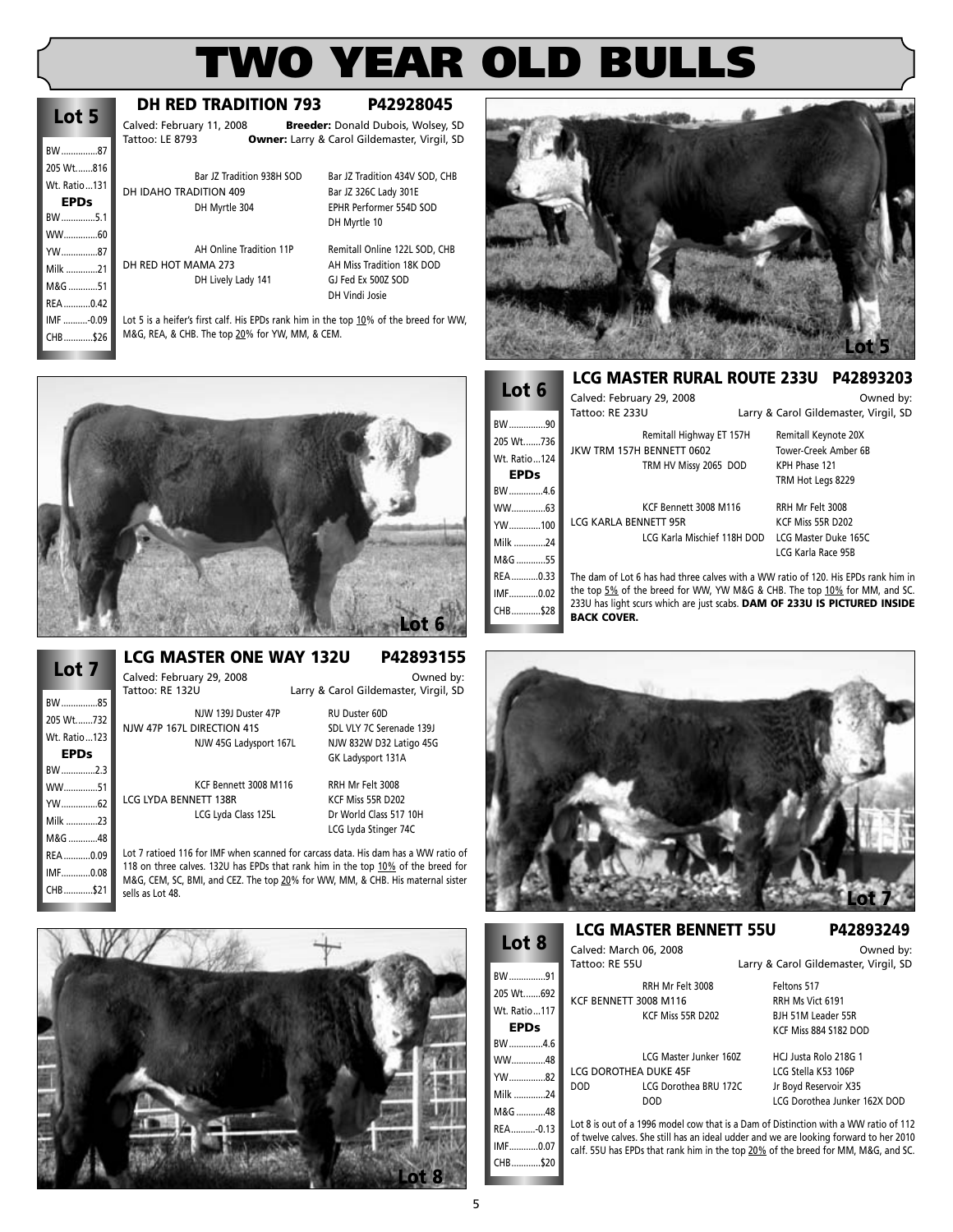## **Lot 5**

**EPDs** BW ..............5.1 WW..............60 YW...............87 Milk .............21 M&G ............51 RFA 0.42 IMF ..........-0.09 CHB............\$26

### BW ...............87 205 Wt.......816 Wt. Ratio...131

### **DH RED TRADITION 793 P42928045**

Calved: February 11, 2008 **Breeder:** Donald Dubois, Wolsey, SD Tattoo: LE 8793 **Owner:** Larry & Carol Gildemaster, Virgil, SD

Bar JZ Tradition 938H SOD Bar JZ Tradition 434V SOD, CHB DH IDAHO TRADITION 409 Bar JZ 326C Lady 301E DH Myrtle 304 EPHR Performer 554D SOD

AH Online Tradition 11P Remitall Online 122L SOD, CHB<br>DH RED HOT MAMA 273 AH Miss Tradition 18K DOD

DH Lively Lady 141 GJ Fed Ex 500Z SOD

DH Myrtle 10 AH Miss Tradition 18K DOD DH Vindi Josie

Lot 5 is a heifer's first calf. His EPDs rank him in the top 10% of the breed for WW, M&G, REA, & CHB. The top 20% for YW, MM, & CEM.





### Calved: February 29, 2008<br>Tattoo: RE 132U **Carry & Carol Gildemaster, Virgil, SD** Larry & Carol Gildemaster, Virgil, SD

NJW 139J Duster 47P RU Duster 60D NJW 47P 167L DIRECTION 41S<br>
SDL VLY 7C Serenade 139J

NJW 45G Ladysport 167L NJW 832W D32 Latigo 45G GK Ladysport 131A

KCF Bennett 3008 M116 RRH Mr Felt 3008 LCG LYDA BENNETT 138R KCF Miss 55R D202 LCG Lyda Class 125L Dr World Class 517 10H

LCG Lyda Stinger 74C

Lot 7 ratioed 116 for IMF when scanned for carcass data. His dam has a WW ratio of 118 on three calves. 132U has EPDs that rank him in the top 10% of the breed for M&G, CEM, SC, BMI, and CEZ. The top 20% for WW, MM, & CHB. His maternal sister





#### **LCG MASTER RURAL ROUTE 233U P42893203**

| Lot 6        | Calved: February 29, 2008                                                                       |                                       | Owned by: |
|--------------|-------------------------------------------------------------------------------------------------|---------------------------------------|-----------|
|              | Tattoo: RE 233U                                                                                 | Larry & Carol Gildemaster, Virgil, SD |           |
| BW90         | Remitall Highway ET 157H                                                                        | Remitall Keynote 20X                  |           |
| 205 Wt736    | JKW TRM 157H BENNETT 0602                                                                       | Tower-Creek Amber 6B                  |           |
| Wt. Ratio124 | TRM HV Missy 2065 DOD                                                                           | KPH Phase 121                         |           |
| <b>EPDs</b>  |                                                                                                 | TRM Hot Legs 8229                     |           |
| BW4.6        |                                                                                                 |                                       |           |
| WW63         | KCF Bennett 3008 M116                                                                           | RRH Mr Felt 3008                      |           |
| YW100        | LCG KARLA BENNETT 95R                                                                           | KCF Miss 55R D202                     |           |
| Milk 24      | LCG Karla Mischief 118H DOD                                                                     | LCG Master Duke 165C                  |           |
| M&G 55       |                                                                                                 | LCG Karla Race 95B                    |           |
| REA0.33      | The dam of Lot 6 has had three calves with a WW ratio of 120. His EPDs rank him in              |                                       |           |
| IMF0.02      | the top 5% of the breed for WW, YW M&G & CHB. The top 10% for MM, and SC.                       |                                       |           |
| CHB\$28      | 233U has light scurs which are just scabs. DAM OF 233U IS PICTURED INSIDE<br><b>BACK COVER.</b> |                                       |           |



### **Lot 8**

BW...............91 205 Wt.......692 Wt. Ratio...117 **EPDs** BW..............4.6  $WW$   $48$ YW...............82 Milk .............24  $M.R.G$   $18$ REA..........-0.13 IMF............0.07

CHR<sub>\$20</sub>

### **LCG MASTER BENNETT 55U P42893249**

LCG Dorothea BRU 172C

Calved: March 06, 2008<br>
Tattoo: RE 55LL Carry & Carol Gildemaster Virgil SD Larry & Carol Gildemaster, Virgil, SD RRH Mr Felt 3008 Feltons 517

KCF BENNETT 3008 M116 RRH Ms Vict 6191 KCF Miss 55R D202 BJH 51M Leader 55R KCF Miss 884 S182 DOD

LCG Master Junker 160Z HCJ Justa Rolo 218G 1 LCG DOROTHEA DUKE 45F LCG Stella K53 106P<br>DOD LCG Dorothea BRU 172C Jr Bovd Reservoir X35 DOD LCG Dorothea Junker 162X DOD

Lot 8 is out of a 1996 model cow that is a Dam of Distinction with a WW ratio of 112 of twelve calves. She still has an ideal udder and we are looking forward to her 2010 calf. 55U has EPDs that rank him in the top 20% of the breed for MM, M&G, and SC.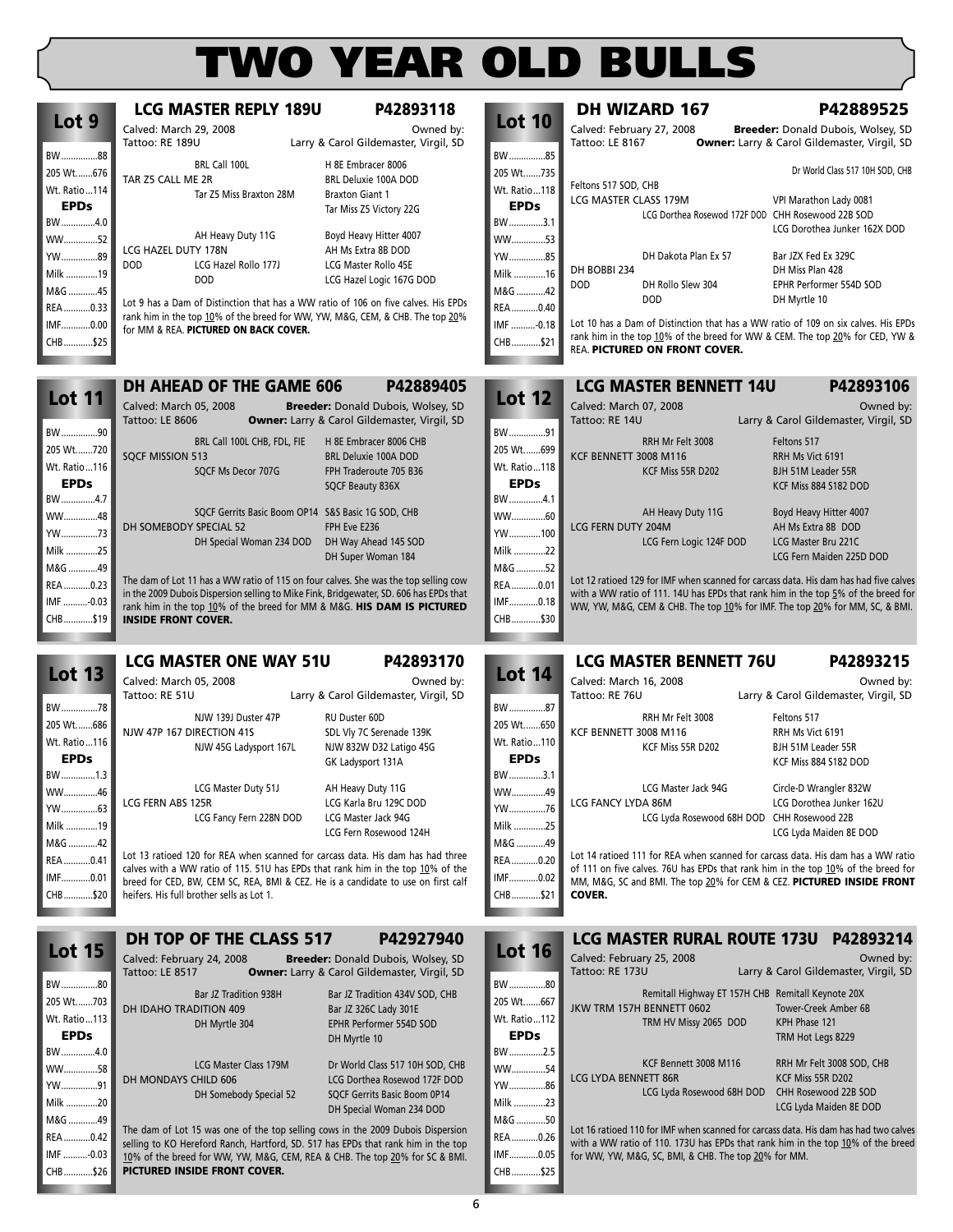IMF ..........-0.03 CHB............\$26

|                             | <b>LCG MASTER REPLY 189U</b>                                                                                                                                        | P42893118                                           |                             | <b>DH WIZARD 167</b>                            | P42889525                                                                             |
|-----------------------------|---------------------------------------------------------------------------------------------------------------------------------------------------------------------|-----------------------------------------------------|-----------------------------|-------------------------------------------------|---------------------------------------------------------------------------------------|
| Lot 9                       | Calved: March 29, 2008                                                                                                                                              | Owned by:                                           | <b>Lot 10</b>               | Calved: February 27, 2008                       | Breeder: Donald Dubois, Wolsey, SD                                                    |
|                             | Tattoo: RE 189U                                                                                                                                                     | Larry & Carol Gildemaster, Virgil, SD               |                             | Tattoo: LE 8167                                 | <b>Owner:</b> Larry & Carol Gildemaster, Virgil, SD                                   |
| BW88                        | BRL Call 100L                                                                                                                                                       | H 8E Embracer 8006                                  | BW85                        |                                                 |                                                                                       |
| 205 Wt676                   | TAR Z5 CALL ME 2R                                                                                                                                                   | BRL Deluxie 100A DOD                                | 205 Wt735                   | Feltons 517 SOD, CHB                            | Dr World Class 517 10H SOD, CHB                                                       |
| Wt. Ratio114                | Tar Z5 Miss Braxton 28M                                                                                                                                             | <b>Braxton Giant 1</b>                              | Wt. Ratio118                | LCG MASTER CLASS 179M                           | VPI Marathon Lady 0081                                                                |
| <b>EPDs</b>                 |                                                                                                                                                                     | Tar Miss Z5 Victory 22G                             | <b>EPDs</b>                 |                                                 | LCG Dorthea Rosewod 172F DOD CHH Rosewood 22B SOD                                     |
| BW4.0                       | AH Heavy Duty 11G                                                                                                                                                   | Boyd Heavy Hitter 4007                              | BW3.1                       |                                                 | LCG Dorothea Junker 162X DOD                                                          |
| WW52                        | LCG HAZEL DUTY 178N                                                                                                                                                 | AH Ms Extra 8B DOD                                  | WW53                        |                                                 |                                                                                       |
| YW89                        | <b>DOD</b><br>LCG Hazel Rollo 177J                                                                                                                                  | LCG Master Rollo 45E                                | YW85                        | DH Dakota Plan Ex 57                            | Bar JZX Fed Ex 329C                                                                   |
| Milk 19                     | <b>DOD</b>                                                                                                                                                          | LCG Hazel Logic 167G DOD                            | Milk 16                     | DH BOBBI 234<br><b>DOD</b><br>DH Rollo Slew 304 | DH Miss Plan 428<br>EPHR Performer 554D SOD                                           |
| M&G 45                      |                                                                                                                                                                     |                                                     | M&G 42                      | <b>DOD</b>                                      | DH Myrtle 10                                                                          |
| REA0.33                     | Lot 9 has a Dam of Distinction that has a WW ratio of 106 on five calves. His EPDs<br>rank him in the top 10% of the breed for WW, YW, M&G, CEM, & CHB. The top 20% |                                                     | REA 0.40                    |                                                 |                                                                                       |
| IMF0.00                     | for MM & REA. PICTURED ON BACK COVER.                                                                                                                               |                                                     | IMF -0.18                   |                                                 | Lot 10 has a Dam of Distinction that has a WW ratio of 109 on six calves. His EPDs    |
| CHB\$25                     |                                                                                                                                                                     |                                                     | CHB\$21                     | REA. PICTURED ON FRONT COVER.                   | rank him in the top 10% of the breed for WW & CEM. The top 20% for CED, YW &          |
|                             | <b>DH AHEAD OF THE GAME 606</b>                                                                                                                                     | P42889405                                           |                             | <b>LCG MASTER BENNETT 14U</b>                   | P42893106                                                                             |
| <b>Lot 11</b>               | Calved: March 05, 2008                                                                                                                                              | Breeder: Donald Dubois, Wolsey, SD                  | <b>Lot 12</b>               | Calved: March 07, 2008                          | Owned by:                                                                             |
|                             | <b>Tattoo: LE 8606</b>                                                                                                                                              | Owner: Larry & Carol Gildemaster, Virgil, SD        |                             | Tattoo: RE 14U                                  | Larry & Carol Gildemaster, Virgil, SD                                                 |
| BW90                        |                                                                                                                                                                     | H 8E Embracer 8006 CHB                              | BW91                        |                                                 |                                                                                       |
| 205 Wt720                   | BRL Call 100L CHB, FDL, FIE<br><b>SQCF MISSION 513</b>                                                                                                              | <b>BRL Deluxie 100A DOD</b>                         | 205 Wt699                   | RRH Mr Felt 3008<br>KCF BENNETT 3008 M116       | Feltons 517<br>RRH Ms Vict 6191                                                       |
| Wt. Ratio116                | SQCF Ms Decor 707G                                                                                                                                                  | FPH Traderoute 705 B36                              | Wt. Ratio…118               | KCF Miss 55R D202                               | <b>BJH 51M Leader 55R</b>                                                             |
|                             |                                                                                                                                                                     | SQCF Beauty 836X                                    | <b>EPDs</b>                 |                                                 | KCF Miss 884 S182 DOD                                                                 |
| BW4.7                       |                                                                                                                                                                     |                                                     | BW4.1                       |                                                 |                                                                                       |
| WW48                        | SQCF Gerrits Basic Boom OP14 S&S Basic 1G SOD, CHB                                                                                                                  |                                                     | WW60                        | AH Heavy Duty 11G                               | Boyd Heavy Hitter 4007                                                                |
| YW73                        | DH SOMEBODY SPECIAL 52                                                                                                                                              | FPH Eve E236                                        | YW100                       | LCG FERN DUTY 204M                              | AH Ms Extra 8B DOD                                                                    |
| Milk 25                     | DH Special Woman 234 DOD                                                                                                                                            | DH Way Ahead 145 SOD<br>DH Super Woman 184          | Milk 22                     | LCG Fern Logic 124F DOD                         | LCG Master Bru 221C<br>LCG Fern Maiden 225D DOD                                       |
| M&G 49                      |                                                                                                                                                                     |                                                     | M&G 52                      |                                                 |                                                                                       |
| REA0.23                     | The dam of Lot 11 has a WW ratio of 115 on four calves. She was the top selling cow                                                                                 |                                                     | REA0.01                     |                                                 | Lot 12 ratioed 129 for IMF when scanned for carcass data. His dam has had five calves |
| IMF -0.03                   | in the 2009 Dubois Dispersion selling to Mike Fink, Bridgewater, SD. 606 has EPDs that<br>rank him in the top 10% of the breed for MM & M&G. HIS DAM IS PICTURED    |                                                     | IMF0.18                     |                                                 | with a WW ratio of 111. 14U has EPDs that rank him in the top $5\%$ of the breed for  |
| CHB\$19                     | <b>INSIDE FRONT COVER.</b>                                                                                                                                          |                                                     | CHB\$30                     |                                                 | WW, YW, M&G, CEM & CHB. The top 10% for IMF. The top 20% for MM, SC, & BMI.           |
|                             |                                                                                                                                                                     |                                                     |                             |                                                 |                                                                                       |
|                             | <b>LCG MASTER ONE WAY 51U</b>                                                                                                                                       | P42893170                                           | <b>Lot 14</b>               | <b>LCG MASTER BENNETT 76U</b>                   | P42893215                                                                             |
| <b>Lot 13</b>               | Calved: March 05, 2008                                                                                                                                              | Owned by:                                           |                             | Calved: March 16, 2008                          | Owned by:                                                                             |
| BW78                        | Tattoo: RE 51U                                                                                                                                                      | Larry & Carol Gildemaster, Virgil, SD               | BW87                        | Tattoo: RE 76U                                  | Larry & Carol Gildemaster, Virgil, SD                                                 |
|                             | NJW 139J Duster 47P                                                                                                                                                 | RU Duster 60D                                       |                             | RRH Mr Felt 3008                                | Feltons 517                                                                           |
| 205 Wt686                   | NJW 47P 167 DIRECTION 41S                                                                                                                                           | SDL Vly 7C Serenade 139K                            | 205 Wt650                   | KCF BENNETT 3008 M116                           | RRH Ms Vict 6191                                                                      |
| Wt. Ratio116                | NJW 45G Ladysport 167L                                                                                                                                              | NJW 832W D32 Latigo 45G                             | Wt. Ratio110<br><b>EPDs</b> | KCF Miss 55R D202                               | BJH 51M Leader 55R                                                                    |
|                             |                                                                                                                                                                     | GK Ladysport 131A                                   |                             |                                                 | KCF Miss 884 S182 DOD                                                                 |
| BW1.3                       | LCG Master Duty 51J                                                                                                                                                 | AH Heavy Duty 11G                                   | BW3.1                       | LCG Master Jack 94G                             | Circle-D Wrangler 832W                                                                |
| WW46                        | LCG FERN ABS 125R                                                                                                                                                   | LCG Karla Bru 129C DOD                              | WW49                        | LCG FANCY LYDA 86M                              | LCG Dorothea Junker 162U                                                              |
| YW63                        | LCG Fancy Fern 228N DOD                                                                                                                                             | LCG Master Jack 94G                                 | YW76                        |                                                 | LCG Lyda Rosewood 68H DOD CHH Rosewood 22B                                            |
| Milk 19                     |                                                                                                                                                                     | LCG Fern Rosewood 124H                              | Milk 25                     |                                                 | LCG Lyda Maiden 8E DOD                                                                |
| M&G 42                      | Lot 13 ratioed 120 for REA when scanned for carcass data. His dam has had three                                                                                     |                                                     | M&G 49                      |                                                 | Lot 14 ratioed 111 for REA when scanned for carcass data. His dam has a WW ratio      |
| REA0.41                     | calves with a WW ratio of 115. 51U has EPDs that rank him in the top 10% of the                                                                                     |                                                     | REA0.20                     |                                                 | of 111 on five calves. 76U has EPDs that rank him in the top 10% of the breed for     |
| IMF0.01<br>CHB\$20          | breed for CED, BW, CEM SC, REA, BMI & CEZ. He is a candidate to use on first calf                                                                                   |                                                     | IMF0.02                     |                                                 | MM, M&G, SC and BMI. The top 20% for CEM & CEZ. PICTURED INSIDE FRONT                 |
|                             | heifers. His full brother sells as Lot 1.                                                                                                                           |                                                     | CHB\$21                     | COVER.                                          |                                                                                       |
|                             |                                                                                                                                                                     |                                                     |                             |                                                 |                                                                                       |
|                             | DH TOP OF THE CLASS 517                                                                                                                                             | P42927940                                           | <b>Lot 16</b>               | <b>LCG MASTER RURAL ROUTE 173U</b>              | P42893214                                                                             |
| <b>Lot 15</b>               | Calved: February 24, 2008                                                                                                                                           | <b>Breeder:</b> Donald Dubois, Wolsey, SD           |                             | Calved: February 25, 2008                       | Owned by:                                                                             |
| BW80                        | Tattoo: LE 8517                                                                                                                                                     | <b>Owner:</b> Larry & Carol Gildemaster, Virgil, SD | BW80                        | Tattoo: RE 173U                                 | Larry & Carol Gildemaster, Virgil, SD                                                 |
|                             | Bar JZ Tradition 938H                                                                                                                                               | Bar JZ Tradition 434V SOD, CHB                      |                             |                                                 | Remitall Highway ET 157H CHB Remitall Keynote 20X                                     |
| 205 Wt703                   | DH IDAHO TRADITION 409                                                                                                                                              | Bar JZ 326C Lady 301E                               | 205 Wt667                   | JKW TRM 157H BENNETT 0602                       | Tower-Creek Amber 6B                                                                  |
| Wt. Ratio113<br><b>EPDs</b> | DH Myrtle 304                                                                                                                                                       | EPHR Performer 554D SOD                             | Wt. Ratio 112               | TRM HV Missy 2065 DOD                           | KPH Phase 121                                                                         |
|                             |                                                                                                                                                                     | DH Myrtle 10                                        | <b>EPDs</b>                 |                                                 | TRM Hot Legs 8229                                                                     |
| BW4.0                       | LCG Master Class 179M                                                                                                                                               | Dr World Class 517 10H SOD, CHB                     | BW2.5                       | KCF Bennett 3008 M116                           | RRH Mr Felt 3008 SOD, CHB                                                             |
| WW58                        | DH MONDAYS CHILD 606                                                                                                                                                | LCG Dorthea Rosewod 172F DOD                        | WW54                        | LCG LYDA BENNETT 86R                            | KCF Miss 55R D202                                                                     |
| YW91                        | DH Somebody Special 52                                                                                                                                              | SQCF Gerrits Basic Boom 0P14                        | rW……………86                   |                                                 | LCG Lyda Rosewood 68H DOD CHH Rosewood 22B SOD                                        |
| Milk 20                     |                                                                                                                                                                     | DH Special Woman 234 DOD                            | Milk 23                     |                                                 | LCG Lyda Maiden 8E DOD                                                                |
| M&G 49                      | The dam of Lot 15 was one of the top selling cows in the 2009 Dubois Dispersion                                                                                     |                                                     | M&G 50                      |                                                 | Lot 16 ratioed 110 for IMF when scanned for carcass data. His dam has had two calves  |
| REA0.42                     | selling to KO Hereford Ranch, Hartford, SD. 517 has EPDs that rank him in the top                                                                                   |                                                     | REA 0.26                    |                                                 | with a WW ratio of 110. 173U has EPDs that rank him in the top 10% of the breed       |

IMF............0.05 CHB............\$25

for WW, YW, M&G, SC, BMI, & CHB. The top 20% for MM.

10% of the breed for WW, YW, M&G, CEM, REA & CHB. The top 20% for SC & BMI.

**PICTURED INSIDE FRONT COVER.**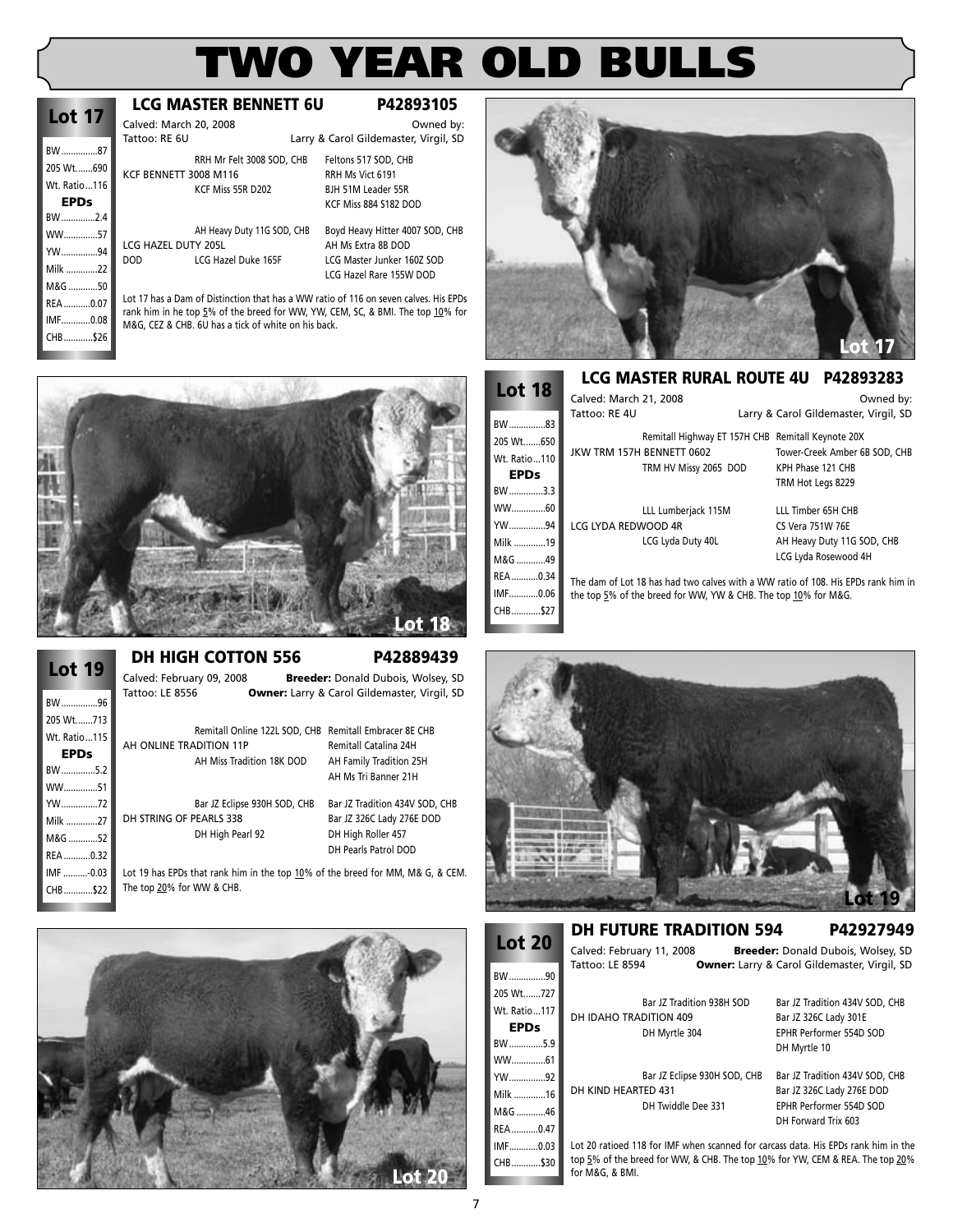| Lot 17       |  |
|--------------|--|
| BW87         |  |
| 205 Wt690    |  |
| Wt. Ratio116 |  |
| EPDs         |  |
| BW2.4        |  |
| WW57         |  |
| YW…………94     |  |
| Milk 22      |  |
| M&G 50       |  |
| REA0.07      |  |
| IMF0.08      |  |
| CHB\$26      |  |
|              |  |

### **LCG MASTER BENNETT 6U P42893105**

Calved: March 20, 2008 Calved: March 20, 2008 Comed by:<br>Tattoo: RF 6U Cass Carol Gildemaster Virgil SD Larry & Carol Gildemaster, Virgil, SD

RRH Mr Felt 3008 SOD, CHB Feltons 517 SOD, CHB KCF BENNETT 3008 M116 RRH Ms Vict 6191<br>KCF Miss 55R D202 BJH 51M Leader 5

LCG HAZEL DUTY 205L AH Ms Extra 8B DOD DOD LCG Hazel Duke 165F LCG Master Junker 160Z SOD

AH Heavy Duty 11G SOD, CHB Boyd Heavy Hitter 4007 SOD, CHB LCG Hazel Rare 155W DOD

BJH 51M Leader 55R KCF Miss 884 S182 DOD

Lot 17 has a Dam of Distinction that has a WW ratio of 116 on seven calves. His EPDs rank him in he top 5% of the breed for WW, YW, CEM, SC, & BMI. The top 10% for M&G, CEZ & CHB. 6U has a tick of white on his back.



### **DH HIGH COTTON 556 P42889439**

| <b>19</b><br>.ot |
|------------------|
| BW96             |
| 205 Wt713        |
| Wt. Ratio115     |
| EPDs             |
| BW5.2            |
| WW51             |
| YW72             |
| Milk 27          |
| M&G 52           |
| REA0.32          |
| IMF -0.03        |
| CHB\$22          |

Calved: February 09, 2008 **Breeder:** Donald Dubois, Wolsey, SD Tattoo: LE 8556 **Owner:** Larry & Carol Gildemaster, Virgil, SD

Remitall Online 122L SOD, CHB Remitall Embracer 8E CHB AH ONLINE TRADITION 11P Remitall Catalina 24H AH Miss Tradition 18K DOD AH Family Tradition 25H

AH Ms Tri Banner 21H Bar JZ Eclipse 930H SOD, CHB Bar JZ Tradition 434V SOD, CHB DH STRING OF PEARLS 338 Bar JZ 326C Lady 276E DOD

DH High Pearl 92 DH High Roller 457 DH Pearls Patrol DOD

Lot 19 has EPDs that rank him in the top 10% of the breed for MM, M& G, & CEM. The top 20% for WW & CHB.





#### **LCG MASTER RURAL ROUTE 4U P42893283**

| <b>Lot 18</b> | Calved: March 21, 2008 |                                                                | Owned by:                                                                         |
|---------------|------------------------|----------------------------------------------------------------|-----------------------------------------------------------------------------------|
| BW83          | Tattoo: RE 4U          |                                                                | Larry & Carol Gildemaster, Virgil, SD                                             |
| 205 Wt650     |                        | Remitall Highway ET 157H CHB Remitall Keynote 20X              |                                                                                   |
| Wt. Ratio110  |                        | JKW TRM 157H BENNETT 0602                                      | Tower-Creek Amber 6B SOD, CHB                                                     |
| <b>EPDs</b>   |                        | TRM HV Missy 2065 DOD                                          | KPH Phase 121 CHB<br>TRM Hot Legs 8229                                            |
| BW3.3         |                        |                                                                |                                                                                   |
| WW60          |                        | LLL Lumberjack 115M                                            | LLL Timber 65H CHB                                                                |
| YW94          | LCG LYDA REDWOOD 4R    |                                                                | CS Vera 751W 76E                                                                  |
| Milk 19       |                        | LCG Lyda Duty 40L                                              | AH Heavy Duty 11G SOD, CHB                                                        |
| M&G 49        |                        |                                                                | LCG Lyda Rosewood 4H                                                              |
| REA0.34       |                        |                                                                | The dam of Lot 18 has had two calves with a WW ratio of 108. His EPDs rank him in |
| IMF0.06       |                        | the top 5% of the breed for WW, YW & CHB. The top 10% for M&G. |                                                                                   |
| CHB\$27       |                        |                                                                |                                                                                   |
|               |                        |                                                                |                                                                                   |



**Lot 20** BW...............90 205 Wt.......727 Wt. Ratio...117 **EPDs** BW..............5.9 WW..............61 YW...............92 Milk .............16 M&G ............46 REA...........0.47 IMF............0.03 **DH FUTURE TRADITION 594 P42927949** Calved: February 11, 2008 **Breeder:** Donald Dubois, Wolsey, SD Owner: Larry & Carol Gildemaster, Virgil, SD Bar JZ Tradition 938H SOD Bar JZ Tradition 434V SOD, CHB DH IDAHO TRADITION 409 Bar JZ 326C Lady 301E DH Myrtle 304 EPHR Performer 554D SOD DH Myrtle 10 Bar JZ Eclipse 930H SOD, CHB Bar JZ Tradition 434V SOD, CHB DH KIND HEARTED 431 Bar JZ 326C Lady 276E DOD DH Twiddle Dee 331 EPHR Performer 554D SOD DH Forward Trix 603

Lot 20 ratioed 118 for IMF when scanned for carcass data. His EPDs rank him in the top 5% of the breed for WW, & CHB. The top 10% for YW, CEM & REA. The top 20% for M&G, & BMI.

CHB............\$30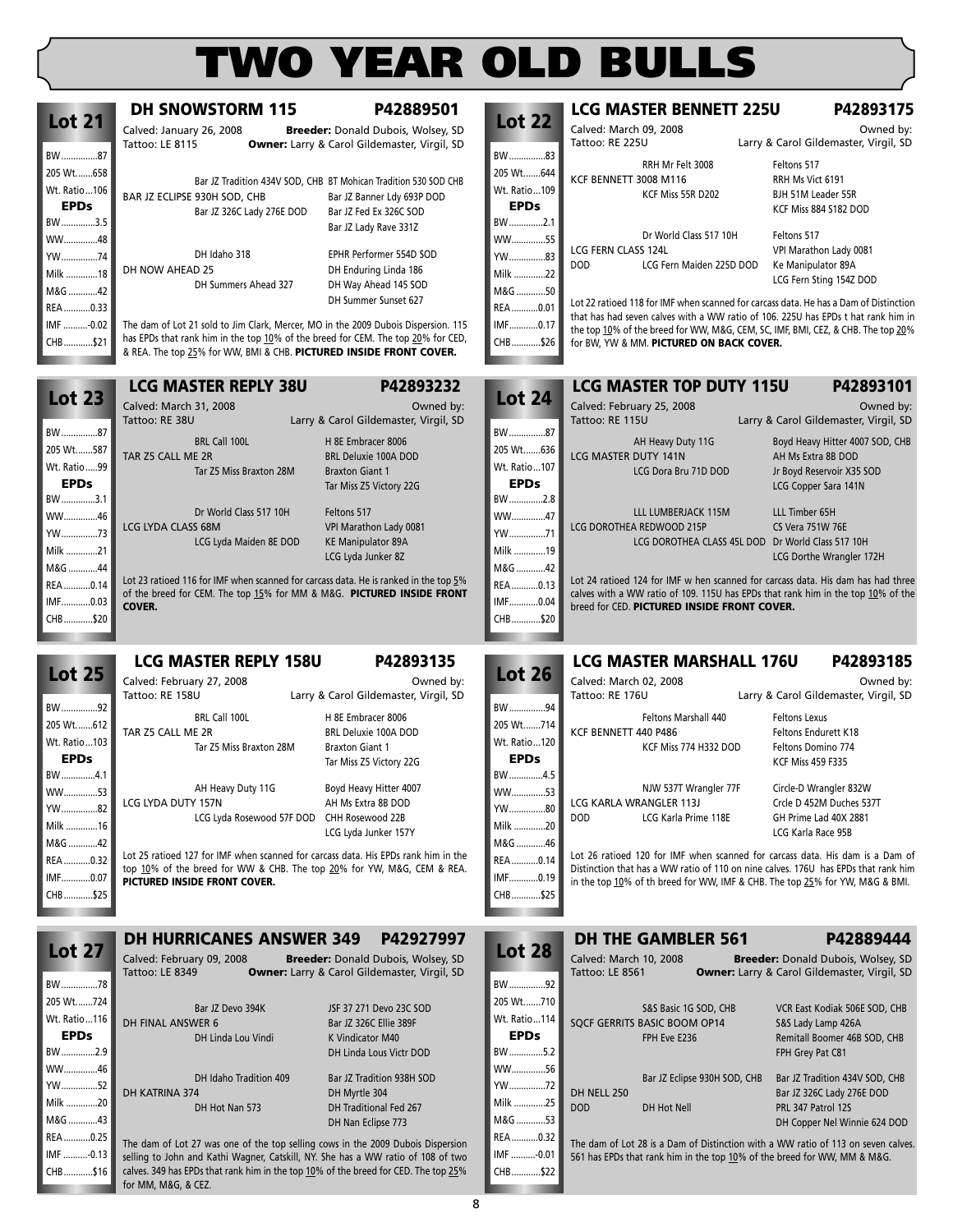**Lot 22**

**LCG MASTER BENNETT 225U P42893175** Calved: March 09, 2008 Calved: March 09, 2008 Carry & Carol Gildemaster, Virgil, SD

Larry & Carol Gildemaster, Virgil, SD

BW ...............83

**DH SNOWSTORM 115 P42889501** Calved: January 26, 2008 **Breeder:** Donald Dubois, Wolsey, SD

Owner: Larry & Carol Gildemaster, Virgil, SD

**Lot 21**

BW ...............87

IMF ..........-0.13 CHB............\$16

for MM, M&G, & CEZ.

| 205 Wt658<br>Wt. Ratio106<br><b>EPDs</b><br>BW3.5<br>WW48<br>YW74<br>Milk 18<br>M&G 42<br>REA0.33<br>IMF -0.02 | BAR JZ ECLIPSE 930H SOD, CHB<br>Bar JZ 326C Lady 276E DOD<br>DH Idaho 318<br>DH NOW AHEAD 25<br>DH Summers Ahead 327<br>The dam of Lot 21 sold to Jim Clark, Mercer, MO in the 2009 Dubois Dispersion. 115 | Bar JZ Tradition 434V SOD, CHB BT Mohican Tradition 530 SOD CHB<br>Bar JZ Banner Ldy 693P DOD<br>Bar JZ Fed Ex 326C SOD<br>Bar JZ Lady Rave 331Z<br>EPHR Performer 554D SOD<br>DH Enduring Linda 186<br>DH Way Ahead 145 SOD<br>DH Summer Sunset 627 | 205 Wt644<br>Wt. Ratio109<br><b>EPDs</b><br>BW2.1<br>WW55<br>YW83<br>Milk 22<br>M&G 50<br>REA0.01<br>IMF0.17 | RRH Mr Felt 3008<br>KCF BENNETT 3008 M116<br>KCF Miss 55R D202<br>Dr World Class 517 10H<br>LCG FERN CLASS 124L<br>DOD<br>LCG Fern Maiden 225D DOD<br>Lot 22 ratioed 118 for IMF when scanned for carcass data. He has a Dam of Distinction<br>that has had seven calves with a WW ratio of 106, 225U has EPDs t hat rank him in | Feltons 517<br>RRH Ms Vict 6191<br>BJH 51M Leader 55R<br>KCF Miss 884 S182 DOD<br>Feltons 517<br>VPI Marathon Lady 0081<br>Ke Manipulator 89A<br>LCG Fern Sting 154Z DOD |
|----------------------------------------------------------------------------------------------------------------|------------------------------------------------------------------------------------------------------------------------------------------------------------------------------------------------------------|------------------------------------------------------------------------------------------------------------------------------------------------------------------------------------------------------------------------------------------------------|--------------------------------------------------------------------------------------------------------------|----------------------------------------------------------------------------------------------------------------------------------------------------------------------------------------------------------------------------------------------------------------------------------------------------------------------------------|--------------------------------------------------------------------------------------------------------------------------------------------------------------------------|
| CHB\$21                                                                                                        | has EPDs that rank him in the top 10% of the breed for CEM. The top 20% for CED,<br>& REA. The top 25% for WW, BMI & CHB. PICTURED INSIDE FRONT COVER.                                                     |                                                                                                                                                                                                                                                      | CHB\$26                                                                                                      | the top 10% of the breed for WW, M&G, CEM, SC, IMF, BMI, CEZ, & CHB. The top 20%<br>for BW, YW & MM. PICTURED ON BACK COVER.                                                                                                                                                                                                     |                                                                                                                                                                          |
| <b>Lot 23</b>                                                                                                  | <b>LCG MASTER REPLY 38U</b>                                                                                                                                                                                | P42893232                                                                                                                                                                                                                                            | <b>Lot 24</b>                                                                                                | <b>LCG MASTER TOP DUTY 115U</b>                                                                                                                                                                                                                                                                                                  | P42893101                                                                                                                                                                |
| BW87<br>205 Wt587                                                                                              | Calved: March 31, 2008<br>Tattoo: RE 38U<br>BRL Call 100L                                                                                                                                                  | Owned by:<br>Larry & Carol Gildemaster, Virgil, SD<br>H 8E Embracer 8006                                                                                                                                                                             | BW87<br>205 Wt636                                                                                            | Calved: February 25, 2008<br>Tattoo: RE 115U<br>AH Heavy Duty 11G                                                                                                                                                                                                                                                                | Owned by:<br>Larry & Carol Gildemaster, Virgil, SD<br>Boyd Heavy Hitter 4007 SOD, CHB                                                                                    |
| Wt. Ratio99<br><b>EPDs</b><br>BW3.1                                                                            | TAR Z5 CALL ME 2R<br>Tar Z5 Miss Braxton 28M                                                                                                                                                               | <b>BRL Deluxie 100A DOD</b><br><b>Braxton Giant 1</b><br>Tar Miss Z5 Victory 22G                                                                                                                                                                     | Wt. Ratio  107<br><b>EPDs</b><br>BW2.8                                                                       | LCG MASTER DUTY 141N<br>LCG Dora Bru 71D DOD                                                                                                                                                                                                                                                                                     | AH Ms Extra 8B DOD<br>Jr Boyd Reservoir X35 SOD<br>LCG Copper Sara 141N                                                                                                  |
| WW46<br>YW73<br>Milk 21<br>M&G 44                                                                              | Dr World Class 517 10H<br>LCG LYDA CLASS 68M<br>LCG Lyda Maiden 8E DOD                                                                                                                                     | Feltons 517<br>VPI Marathon Lady 0081<br><b>KE Manipulator 89A</b><br>LCG Lyda Junker 8Z                                                                                                                                                             | WW47<br>YW71<br>Milk 19<br>M&G 42                                                                            | LLL LUMBERJACK 115M<br>LCG DOROTHEA REDWOOD 215P<br>LCG DOROTHEA CLASS 45L DOD Dr World Class 517 10H                                                                                                                                                                                                                            | LLL Timber 65H<br><b>CS Vera 751W 76E</b><br>LCG Dorthe Wrangler 172H                                                                                                    |
| REA0.14<br>IMF0.03<br>CHB\$20                                                                                  | Lot 23 ratioed 116 for IMF when scanned for carcass data. He is ranked in the top 5%<br>of the breed for CEM. The top 15% for MM & M&G. PICTURED INSIDE FRONT<br><b>COVER.</b>                             |                                                                                                                                                                                                                                                      | REA0.13<br>IMF0.04<br>CHB\$20                                                                                | Lot 24 ratioed 124 for IMF w hen scanned for carcass data. His dam has had three<br>calves with a WW ratio of 109. 115U has EPDs that rank him in the top 10% of the<br>breed for CED. PICTURED INSIDE FRONT COVER.                                                                                                              |                                                                                                                                                                          |
|                                                                                                                | <b>LCG MASTER REPLY 158U</b>                                                                                                                                                                               | P42893135                                                                                                                                                                                                                                            |                                                                                                              | <b>LCG MASTER MARSHALL 176U</b>                                                                                                                                                                                                                                                                                                  | P42893185                                                                                                                                                                |
| <b>Lot 25</b>                                                                                                  | Calved: February 27, 2008<br>Tattoo: RE 158U                                                                                                                                                               | Owned by:<br>Larry & Carol Gildemaster, Virgil, SD                                                                                                                                                                                                   | <b>Lot 26</b>                                                                                                | Calved: March 02, 2008<br>Tattoo: RE 176U                                                                                                                                                                                                                                                                                        | Owned by:<br>Larry & Carol Gildemaster, Virgil, SD                                                                                                                       |
| BW92<br>205 Wt612<br>Wt. Ratio103<br><b>EPDs</b><br>BW4.1                                                      | BRL Call 100L<br>TAR Z5 CALL ME 2R<br>Tar Z5 Miss Braxton 28M                                                                                                                                              | H 8E Embracer 8006<br>BRL Deluxie 100A DOD<br><b>Braxton Giant 1</b><br>Tar Miss Z5 Victory 22G                                                                                                                                                      | BW94<br>205 Wt714<br>Wt. Ratio  120<br><b>EPDs</b><br>BW4.5                                                  | Feltons Marshall 440<br>KCF BENNETT 440 P486<br>KCF Miss 774 H332 DOD                                                                                                                                                                                                                                                            | <b>Feltons Lexus</b><br>Feltons Endurett K18<br>Feltons Domino 774<br><b>KCF Miss 459 F335</b>                                                                           |
| WW53                                                                                                           | AH Heavy Duty 11G                                                                                                                                                                                          |                                                                                                                                                                                                                                                      |                                                                                                              |                                                                                                                                                                                                                                                                                                                                  |                                                                                                                                                                          |
| YW82<br>Milk 16                                                                                                | LCG LYDA DUTY 157N<br>LCG Lyda Rosewood 57F DOD CHH Rosewood 22B                                                                                                                                           | Boyd Heavy Hitter 4007<br>AH Ms Extra 8B DOD<br>LCG Lyda Junker 157Y                                                                                                                                                                                 | WW53<br>YW80<br>Milk 20                                                                                      | NJW 537T Wrangler 77F<br>LCG KARLA WRANGLER 113J<br><b>DOD</b><br>LCG Karla Prime 118E                                                                                                                                                                                                                                           | Circle-D Wrangler 832W<br>Crcle D 452M Duches 537T<br>GH Prime Lad 40X 2881<br>LCG Karla Race 95B                                                                        |
| M&G 42<br>REA0.32<br>IMF0.07<br>CHB\$25                                                                        | Lot 25 ratioed 127 for IMF when scanned for carcass data. His EPDs rank him in the<br>top 10% of the breed for WW & CHB. The top 20% for YW, M&G, CEM & REA.<br>PICTURED INSIDE FRONT COVER.               |                                                                                                                                                                                                                                                      | M&G 46<br>REA 0.14<br>IMF0.19<br>CHB\$25                                                                     | Lot 26 ratioed 120 for IMF when scanned for carcass data. His dam is a Dam of<br>Distinction that has a WW ratio of 110 on nine calves. 176U has EPDs that rank him<br>in the top 10% of th breed for WW, IMF & CHB. The top 25% for YW, M&G & BMI.                                                                              |                                                                                                                                                                          |
|                                                                                                                | <b>DH HURRICANES ANSWER 349</b>                                                                                                                                                                            | P42927997                                                                                                                                                                                                                                            |                                                                                                              | <b>DH THE GAMBLER 561</b>                                                                                                                                                                                                                                                                                                        | P42889444                                                                                                                                                                |
| <b>Lot 27</b><br>BW78                                                                                          | Calved: February 09, 2008<br>Tattoo: LE 8349                                                                                                                                                               | <b>Breeder:</b> Donald Dubois, Wolsey, SD<br>Owner: Larry & Carol Gildemaster, Virgil, SD                                                                                                                                                            | <b>Lot 28</b><br>BW92                                                                                        | Calved: March 10, 2008<br><b>Tattoo: LE 8561</b>                                                                                                                                                                                                                                                                                 | Breeder: Donald Dubois, Wolsey, SD<br><b>Owner:</b> Larry & Carol Gildemaster, Virgil, SD                                                                                |
| 205 Wt724<br>Wt. Ratio116<br><b>EPDs</b><br>BW2.9                                                              | Bar JZ Devo 394K<br>DH FINAL ANSWER 6<br>DH Linda Lou Vindi                                                                                                                                                | JSF 37 271 Devo 23C SOD<br>Bar JZ 326C Ellie 389F<br>K Vindicator M40<br>DH Linda Lous Victr DOD                                                                                                                                                     | 205 Wt710<br>Wt. Ratio114<br><b>EPDs</b><br>BW5.2                                                            | S&S Basic 1G SOD, CHB<br>SQCF GERRITS BASIC BOOM OP14<br>FPH Eve E236                                                                                                                                                                                                                                                            | VCR East Kodiak 506E SOD, CHB<br>S&S Lady Lamp 426A<br>Remitall Boomer 46B SOD, CHB<br>FPH Grey Pat C81                                                                  |
| WW46<br>YW………….52<br>Milk 20<br>M&G 43<br>REA0.25                                                              | DH Idaho Tradition 409<br>DH KATRINA 374<br>DH Hot Nan 573<br>The dam of Lot 27 was one of the top selling cows in the 2009 Dubois Dispersion                                                              | Bar JZ Tradition 938H SOD<br>DH Myrtle 304<br>DH Traditional Fed 267<br>DH Nan Eclipse 773                                                                                                                                                           | WW56<br>YW72<br>Milk 25<br>M&G 53<br>REA 0.32                                                                | Bar JZ Eclipse 930H SOD, CHB<br>DH NELL 250<br><b>DOD</b><br>DH Hot Nell<br>The dam of Lot 28 is a Dam of Distinction with a WW ratio of 113 on seven calves.                                                                                                                                                                    | Bar JZ Tradition 434V SOD, CHB<br>Bar JZ 326C Lady 276E DOD<br>PRL 347 Patrol 12S<br>DH Copper Nel Winnie 624 DOD                                                        |

IMF ..........-0.01 CHB............\$22 The dam of Lot 28 is a Dam of Distinction with a WW ratio of 113 on seven calves. 561 has EPDs that rank him in the top 10% of the breed for WW, MM & M&G.

selling to John and Kathi Wagner, Catskill, NY. She has a WW ratio of 108 of two calves. 349 has EPDs that rank him in the top 10% of the breed for CED. The top 25%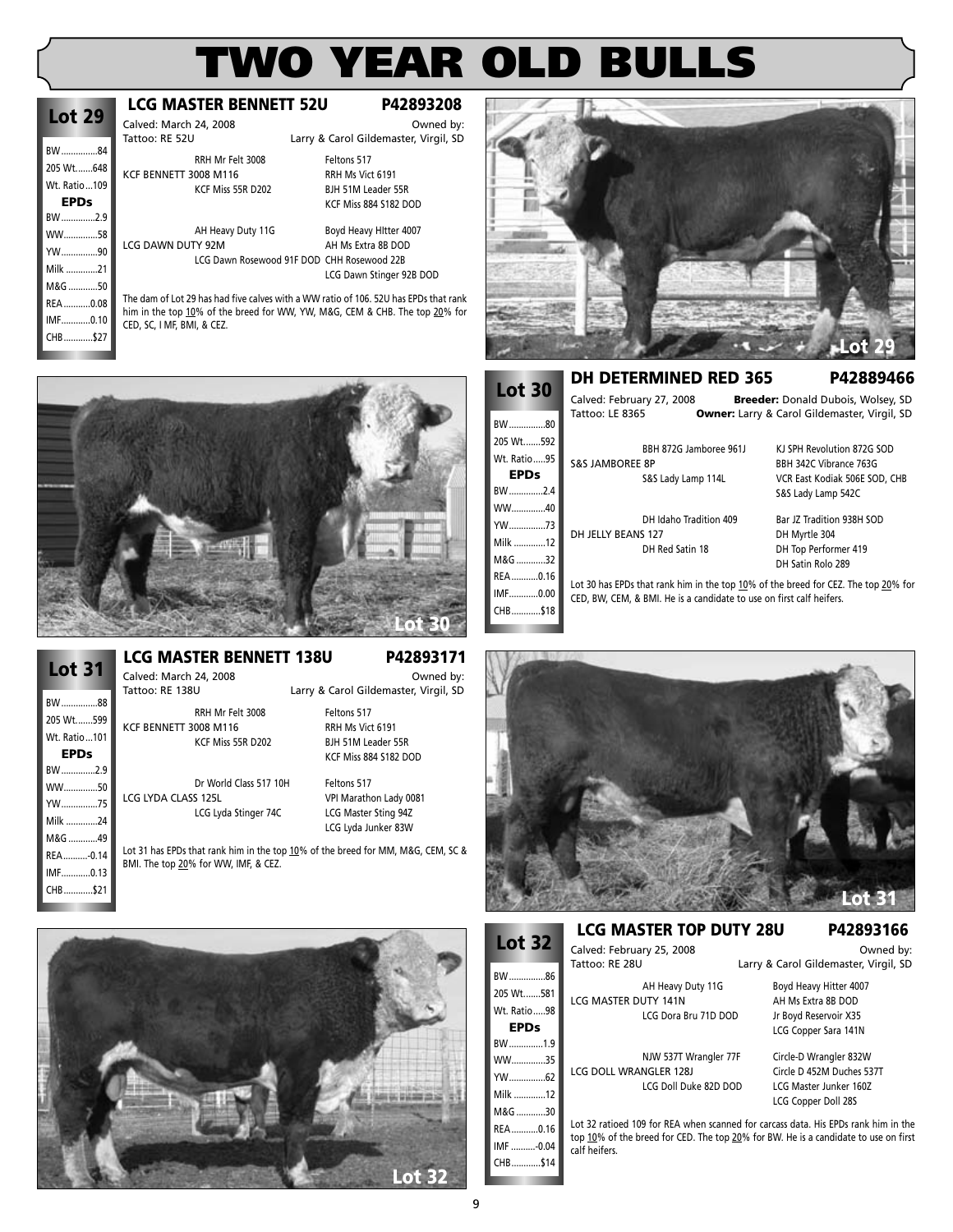### **Lot 29** BW ...............84 205 Wt.......648 Wt. Ratio...109 **EPDs** BW ..............2.9 WW..............58

YW...............90 Milk .............21 M&G ............50 REA ...........0.08 IMF............0.10 CHB............\$27

### **LCG MASTER BENNETT 52U P42893208**

Calved: March 24, 2008<br>
Tattoo: RF 52U<br>
Larry & Carol Gildemaster Virgil SD Larry & Carol Gildemaster, Virgil, SD

RRH Mr Felt 3008 Feltons 517 KCF BENNETT 3008 M116<br>KCF Miss 55R D202 BJH 51M Leader 5

LCG DAWN DUTY 92M AH Ms Extra 8B DOD LCG Dawn Rosewood 91F DOD CHH Rosewood 22B

BJH 51M Leader 55R KCF Miss 884 S182 DOD AH Heavy Duty 11G Boyd Heavy Hitter 4007

LCG Dawn Stinger 92B DOD

The dam of Lot 29 has had five calves with a WW ratio of 106. 52U has EPDs that rank him in the top 10% of the breed for WW, YW, M&G, CEM & CHB. The top 20% for CED, SC, I MF, BMI, & CEZ.



| <b>Lot 31</b> |  |
|---------------|--|
| BW88          |  |
| 205 Wt599     |  |
| Wt. Ratio101  |  |
| EPDs          |  |
| BW2.9         |  |
| WW50          |  |
| YW……………75     |  |
| Milk 24       |  |
| M&G 49        |  |
| REA-0.14      |  |
| IMF0.13       |  |
| CHB\$21       |  |

**LCG MASTER BENNETT 138U P42893171**

Calved: March 24, 2008<br>Tattoo: RE 138U **Carlong Carlonation: Carlonation: Carlonation: Carlonation: Carlonation: Owned by:** Larry & Carol Gildemaster, Virgil, SD

RRH Mr Felt 3008 Feltons 517 KCF BENNETT 3008 M116 RRH Ms Vict 6191 RIH 51M Leader 55R KCF Miss 884 S182 DOD

Dr World Class 517 10H Feltons 517<br>LCG LYDA CLASS 125L PPI Marath VPI Marathon Lady 0081 LCG Lyda Stinger 74C LCG Master Sting 94Z LCG Lyda Junker 83W

Lot 31 has EPDs that rank him in the top 10% of the breed for MM, M&G, CEM, SC & BMI. The top 20% for WW, IMF, & CEZ.





**Lot 30**

### **DH DETERMINED RED 365 P42889466**

Calved: February 27, 2008 **Breeder:** Donald Dubois, Wolsey, SD Tattoo: LE 8365 **Owner:** Larry & Carol Gildemaster, Virgil, SD

| BW80        | 19999.LL 0303              |                                                                      | <b>Owner.</b> Larry & Carol Ondernaster, virgin, 5D                                |
|-------------|----------------------------|----------------------------------------------------------------------|------------------------------------------------------------------------------------|
| 205 Wt592   |                            | BBH 872G Jamboree 961J                                               | KJ SPH Revolution 872G SOD                                                         |
| Wt. Ratio95 | <b>S&amp;S JAMBOREE 8P</b> |                                                                      | BBH 342C Vibrance 763G                                                             |
| <b>EPDs</b> |                            | S&S Lady Lamp 114L                                                   | VCR East Kodiak 506E SOD, CHB                                                      |
| BW2.4       |                            |                                                                      | S&S Lady Lamp 542C                                                                 |
| WW40        |                            |                                                                      |                                                                                    |
|             |                            | DH Idaho Tradition 409                                               | Bar JZ Tradition 938H SOD                                                          |
| Milk 12     | DH JELLY BEANS 127         |                                                                      | DH Myrtle 304                                                                      |
|             |                            | DH Red Satin 18                                                      | DH Top Performer 419                                                               |
| M&G 32      |                            |                                                                      | DH Satin Rolo 289                                                                  |
| REA0.16     |                            |                                                                      |                                                                                    |
| IMF0.00     |                            | CED, BW, CEM, & BMI. He is a candidate to use on first calf heifers. | Lot 30 has EPDs that rank him in the top 10% of the breed for CEZ. The top 20% for |
| CHB\$18     |                            |                                                                      |                                                                                    |



### **LCG MASTER TOP DUTY 28U P42893166** Calved: February 25, 2008<br>Tattoo: RE 28U **Discussed Carlo Battoo: RE 28U**

LCG MASTER DUTY 141N AH Ms Extra 8B DOD

LCG DOLL WRANGLER 128J Circle D 452M Duches 537T<br>LCG Doll Duke 82D DOD LCG Master Junker 1602

Larry & Carol Gildemaster, Virgil, SD

AH Heavy Duty 11G Boyd Heavy Hitter 4007 LCG Dora Bru 71D DOD Jr Boyd Reservoir X35 LCG Copper Sara 141N

NJW 537T Wrangler 77F Circle-D Wrangler 832W LCG Master Junker 160Z LCG Copper Doll 28S

Lot 32 ratioed 109 for REA when scanned for carcass data. His EPDs rank him in the top 10% of the breed for CED. The top 20% for BW. He is a candidate to use on first calf heifers.

**Lot 32**

BW...............86 205 Wt.......581 Wt. Ratio.....98 **EPDs** BW..............1.9 WW..............35 YW...............62 Milk 12  $M.R.G$  30 REA...........0.16 IMF ..........-0.04 CHB............\$14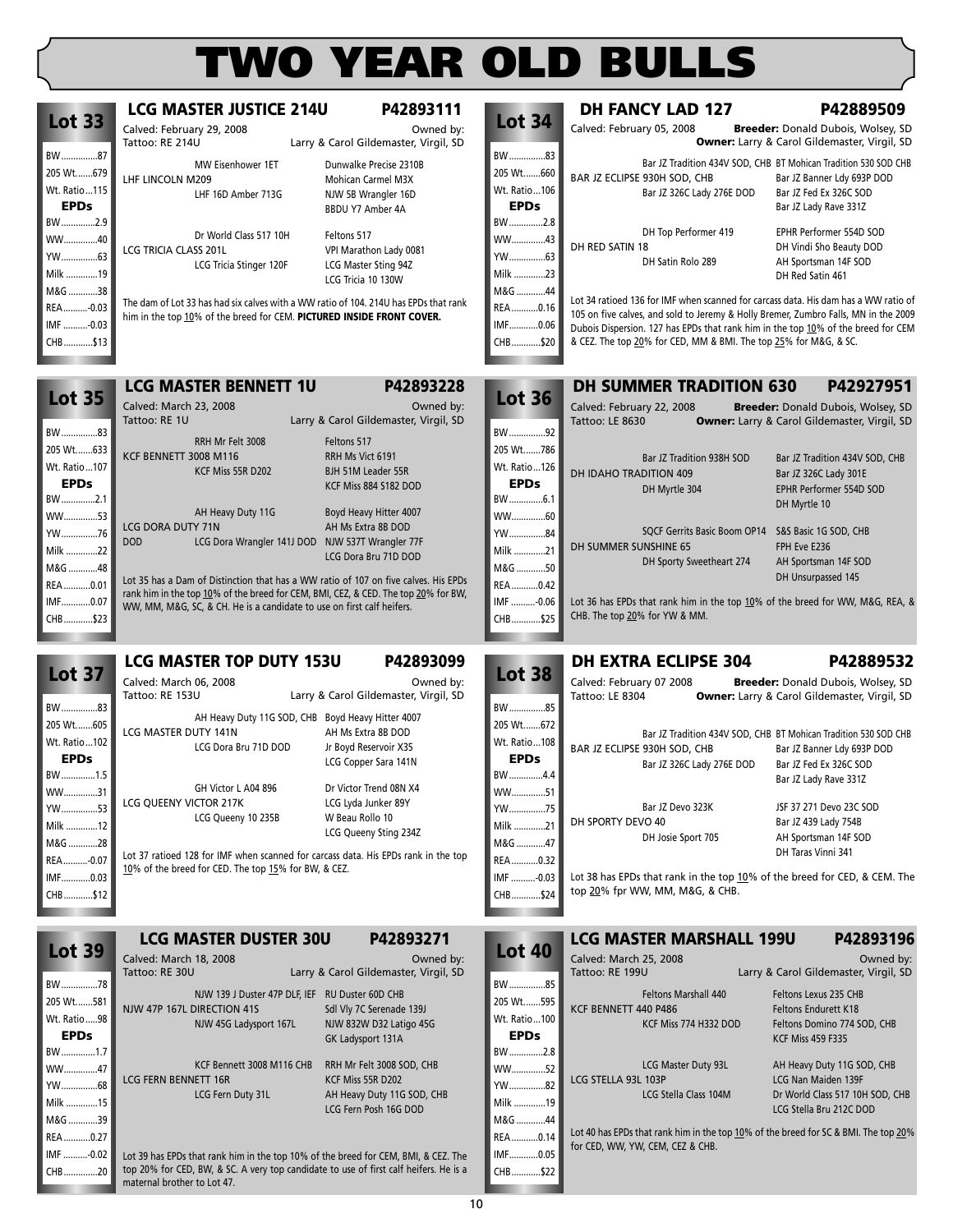| <b>Lot 33</b>             | <b>LCG MASTER JUSTICE 214U</b><br>Calved: February 29, 2008                          | P42893111<br>Owned by:                             | <b>Lot 34</b>             | <b>DH FANCY LAD 127</b><br>Calved: February 05, 2008                                                                                                                       | P42889509<br>Breeder: Donald Dubois, Wolsey, SD                                    |
|---------------------------|--------------------------------------------------------------------------------------|----------------------------------------------------|---------------------------|----------------------------------------------------------------------------------------------------------------------------------------------------------------------------|------------------------------------------------------------------------------------|
|                           | Tattoo: RE 214U                                                                      | Larry & Carol Gildemaster, Virgil, SD              |                           |                                                                                                                                                                            | Owner: Larry & Carol Gildemaster, Virgil, SD                                       |
| BW87                      | MW Eisenhower 1ET                                                                    | Dunwalke Precise 2310B                             | BW83                      |                                                                                                                                                                            | Bar JZ Tradition 434V SOD, CHB BT Mohican Tradition 530 SOD CHB                    |
| 205 Wt679<br>Wt. Ratio115 | LHF LINCOLN M209                                                                     | Mohican Carmel M3X                                 | 205 Wt660<br>Wt. Ratio106 | BAR JZ ECLIPSE 930H SOD, CHB                                                                                                                                               | Bar JZ Banner Ldy 693P DOD                                                         |
| <b>EPDs</b>               | LHF 16D Amber 713G                                                                   | NJW 5B Wrangler 16D                                | <b>EPDs</b>               | Bar JZ 326C Lady 276E DOD                                                                                                                                                  | Bar JZ Fed Ex 326C SOD<br>Bar JZ Lady Rave 331Z                                    |
| BW2.9                     |                                                                                      | BBDU Y7 Amber 4A                                   | BW2.8                     |                                                                                                                                                                            |                                                                                    |
| WW40                      | Dr World Class 517 10H                                                               | Feltons 517                                        | WW43                      | DH Top Performer 419                                                                                                                                                       | EPHR Performer 554D SOD                                                            |
| YW63                      | LCG TRICIA CLASS 201L                                                                | VPI Marathon Lady 0081                             | YW63                      | DH RED SATIN 18<br>DH Satin Rolo 289                                                                                                                                       | DH Vindi Sho Beauty DOD<br>AH Sportsman 14F SOD                                    |
| Milk 19                   | LCG Tricia Stinger 120F                                                              | LCG Master Sting 94Z                               | Milk 23                   |                                                                                                                                                                            | DH Red Satin 461                                                                   |
| M&G 38                    |                                                                                      | LCG Tricia 10 130W                                 | M&G 44                    |                                                                                                                                                                            |                                                                                    |
| REA-0.03                  | The dam of Lot 33 has had six calves with a WW ratio of 104. 214U has EPDs that rank |                                                    | REA0.16                   | Lot 34 ratioed 136 for IMF when scanned for carcass data. His dam has a WW ratio of<br>105 on five calves, and sold to Jeremy & Holly Bremer, Zumbro Falls, MN in the 2009 |                                                                                    |
| IMF -0.03                 | him in the top 10% of the breed for CEM. PICTURED INSIDE FRONT COVER.                |                                                    | IMF0.06                   | Dubois Dispersion. 127 has EPDs that rank him in the top 10% of the breed for CEM                                                                                          |                                                                                    |
| CHB\$13                   |                                                                                      |                                                    | CHB\$20                   | & CEZ. The top 20% for CED, MM & BMI. The top 25% for M&G, & SC.                                                                                                           |                                                                                    |
|                           |                                                                                      |                                                    |                           |                                                                                                                                                                            |                                                                                    |
|                           | <b>LCG MASTER BENNETT 1U</b>                                                         | P42893228                                          |                           | <b>DH SUMMER TRADITION 630</b>                                                                                                                                             | P42927951                                                                          |
| <b>Lot 35</b>             | Calved: March 23, 2008                                                               | Owned by:                                          | <b>Lot 36</b>             | Calved: February 22, 2008                                                                                                                                                  | Breeder: Donald Dubois, Wolsey, SD                                                 |
|                           | Tattoo: RE 1U                                                                        | Larry & Carol Gildemaster, Virgil, SD              |                           | Tattoo: LE 8630                                                                                                                                                            | <b>Owner:</b> Larry & Carol Gildemaster, Virgil, SD                                |
| BW83                      | RRH Mr Felt 3008                                                                     | Feltons 517                                        | BW92                      |                                                                                                                                                                            |                                                                                    |
| 205 Wt633                 | KCF BENNETT 3008 M116                                                                | RRH Ms Vict 6191                                   | 205 Wt786                 | Bar JZ Tradition 938H SOD                                                                                                                                                  | Bar JZ Tradition 434V SOD, CHB                                                     |
| Wt. Ratio107              | KCF Miss 55R D202                                                                    | BJH 51M Leader 55R                                 | Wt. Ratio126              | DH IDAHO TRADITION 409                                                                                                                                                     | Bar JZ 326C Lady 301E                                                              |
| <b>EPDs</b>               |                                                                                      | KCF Miss 884 S182 DOD                              | <b>EPDs</b>               | DH Myrtle 304                                                                                                                                                              | EPHR Performer 554D SOD                                                            |
| BW2.1                     | AH Heavy Duty 11G                                                                    | Boyd Heavy Hitter 4007                             | BW6.1                     |                                                                                                                                                                            | DH Myrtle 10                                                                       |
| WW53                      | LCG DORA DUTY 71N                                                                    | AH Ms Extra 8B DOD                                 | WW60                      |                                                                                                                                                                            |                                                                                    |
| YW76                      | <b>DOD</b><br>LCG Dora Wrangler 141J DOD NJW 537T Wrangler 77F                       |                                                    | YW84                      | SQCF Gerrits Basic Boom OP14<br>DH SUMMER SUNSHINE 65                                                                                                                      | S&S Basic 1G SOD, CHB<br>FPH Eve E236                                              |
| Milk 22                   |                                                                                      | LCG Dora Bru 71D DOD                               | Milk 21                   | DH Sporty Sweetheart 274                                                                                                                                                   | AH Sportsman 14F SOD                                                               |
| M&G 48                    | Lot 35 has a Dam of Distinction that has a WW ratio of 107 on five calves. His EPDs  |                                                    | M&G 50                    |                                                                                                                                                                            | DH Unsurpassed 145                                                                 |
| REA0.01<br>IMF0.07        | rank him in the top 10% of the breed for CEM, BMI, CEZ, & CED. The top 20% for BW,   |                                                    | REA 0.42<br>IMF -0.06     | Lot 36 has EPDs that rank him in the top 10% of the breed for WW, M&G, REA, &                                                                                              |                                                                                    |
| CHB\$23                   | WW, MM, M&G, SC, & CH. He is a candidate to use on first calf heifers.               |                                                    | CHB\$25                   | CHB. The top 20% for YW & MM.                                                                                                                                              |                                                                                    |
|                           |                                                                                      |                                                    |                           |                                                                                                                                                                            |                                                                                    |
|                           | <b>LCG MASTER TOP DUTY 153U</b>                                                      | P42893099                                          |                           | <b>DH EXTRA ECLIPSE 304</b>                                                                                                                                                | P42889532                                                                          |
| <b>Lot 37</b>             |                                                                                      | Owned by:                                          | <b>Lot 38</b>             |                                                                                                                                                                            |                                                                                    |
|                           | Calved: March 06, 2008<br>Tattoo: RE 153U                                            | Larry & Carol Gildemaster, Virgil, SD              |                           | Calved: February 07 2008<br>Tattoo: LE 8304                                                                                                                                | Breeder: Donald Dubois, Wolsey, SD<br>Owner: Larry & Carol Gildemaster, Virgil, SD |
| BW83                      |                                                                                      |                                                    | BW85                      |                                                                                                                                                                            |                                                                                    |
| 205 Wt605                 | AH Heavy Duty 11G SOD, CHB Boyd Heavy Hitter 4007<br>LCG MASTER DUTY 141N            | AH Ms Extra 8B DOD                                 | 205 Wt672                 |                                                                                                                                                                            | Bar JZ Tradition 434V SOD, CHB BT Mohican Tradition 530 SOD CHB                    |
| Wt. Ratio102              | LCG Dora Bru 71D DOD                                                                 | Jr Boyd Reservoir X35                              | Wt. Ratio108              | BAR JZ ECLIPSE 930H SOD, CHB                                                                                                                                               | Bar JZ Banner Ldy 693P DOD                                                         |
| <b>EPDs</b>               |                                                                                      | LCG Copper Sara 141N                               | <b>EPDs</b>               | Bar JZ 326C Lady 276E DOD                                                                                                                                                  | Bar JZ Fed Ex 326C SOD                                                             |
| BW1.5                     | GH Victor L A04 896                                                                  | Dr Victor Trend 08N X4                             | BW4.4                     |                                                                                                                                                                            | Bar JZ Lady Rave 331Z                                                              |
| WW31                      | LCG QUEENY VICTOR 217K                                                               | LCG Lyda Junker 89Y                                | WW51                      | Bar JZ Devo 323K                                                                                                                                                           |                                                                                    |
| YW53                      | LCG Queeny 10 235B                                                                   | W Beau Rollo 10                                    | YW75                      | DH SPORTY DEVO 40                                                                                                                                                          | JSF 37 271 Devo 23C SOD<br>Bar JZ 439 Lady 754B                                    |
| Milk 12                   |                                                                                      | LCG Queeny Sting 234Z                              | Milk 21                   | DH Josie Sport 705                                                                                                                                                         | AH Sportsman 14F SOD                                                               |
| M&G 28<br>REA-0.07        | Lot 37 ratioed 128 for IMF when scanned for carcass data. His EPDs rank in the top   |                                                    | M&G 47<br>REA 0.32        |                                                                                                                                                                            | DH Taras Vinni 341                                                                 |
| IMF0.03                   | 10% of the breed for CED. The top 15% for BW, & CEZ.                                 |                                                    | IMF -0.03                 | Lot 38 has EPDs that rank in the top 10% of the breed for CED, & CEM. The                                                                                                  |                                                                                    |
| CHB\$12                   |                                                                                      |                                                    | CHB\$24                   | top 20% fpr WW, MM, M&G, & CHB.                                                                                                                                            |                                                                                    |
|                           |                                                                                      |                                                    |                           |                                                                                                                                                                            |                                                                                    |
|                           | <b>LCG MASTER DUSTER 30U</b>                                                         |                                                    |                           |                                                                                                                                                                            |                                                                                    |
| <b>Lot 39</b>             |                                                                                      | P42893271                                          | <b>Lot 40</b>             | <b>LCG MASTER MARSHALL 199U</b>                                                                                                                                            | P42893196                                                                          |
|                           | Calved: March 18, 2008<br>Tattoo: RE 30U                                             | Owned by:<br>Larry & Carol Gildemaster, Virgil, SD |                           | Calved: March 25, 2008<br>Tattoo: RE 199U                                                                                                                                  | Owned by:<br>Larry & Carol Gildemaster, Virgil, SD                                 |
| BW78                      |                                                                                      |                                                    | BW 85                     |                                                                                                                                                                            |                                                                                    |
| 205 Wt581                 | NJW 139 J Duster 47P DLF, IEF RU Duster 60D CHB<br>NJW 47P 167L DIRECTION 41S        | Sdl Vly 7C Serenade 139J                           | 205 Wt595                 | Feltons Marshall 440<br>KCF BENNETT 440 P486                                                                                                                               | Feltons Lexus 235 CHB<br><b>Feltons Endurett K18</b>                               |
| Wt. Ratio98               | NJW 45G Ladysport 167L                                                               | NJW 832W D32 Latigo 45G                            | Wt. Ratio100              | KCF Miss 774 H332 DOD                                                                                                                                                      | Feltons Domino 774 SOD, CHB                                                        |
| <b>EPDs</b>               |                                                                                      | GK Ladysport 131A                                  | <b>EPDs</b>               |                                                                                                                                                                            | <b>KCF Miss 459 F335</b>                                                           |
| BW1.7                     |                                                                                      |                                                    | BW 2.8                    |                                                                                                                                                                            |                                                                                    |
| WW47                      | KCF Bennett 3008 M116 CHB<br>LCG FERN BENNETT 16R                                    | RRH Mr Felt 3008 SOD, CHB<br>KCF Miss 55R D202     | WW52                      | LCG Master Duty 93L<br>LCG STELLA 93L 103P                                                                                                                                 | AH Heavy Duty 11G SOD, CHB<br>LCG Nan Maiden 139F                                  |
| YW68                      | LCG Fern Duty 31L                                                                    | AH Heavy Duty 11G SOD, CHB                         | YW82                      | LCG Stella Class 104M                                                                                                                                                      | Dr World Class 517 10H SOD, CHB                                                    |
| Milk 15                   |                                                                                      | LCG Fern Posh 16G DOD                              | Milk 19                   |                                                                                                                                                                            | LCG Stella Bru 212C DOD                                                            |
| M&G 39                    |                                                                                      |                                                    | M&G 44                    | Lot 40 has EPDs that rank him in the top 10% of the breed for SC & BMI. The top 20%                                                                                        |                                                                                    |
| REA0.27                   |                                                                                      |                                                    | REA 0.14                  | for CED, WW, YW, CEM, CEZ & CHB.                                                                                                                                           |                                                                                    |
| IMF -0.02                 | Lot 39 has EPDs that rank him in the top 10% of the breed for CEM, BMI, & CEZ. The   |                                                    | IMF0.05                   |                                                                                                                                                                            |                                                                                    |

CHB............\$22

Lot 39 has EPDs that rank him in the top 10% of the breed for CEM, BMI, & CEZ. The top 20% for CED, BW, & SC. A very top candidate to use of first calf heifers. He is a

IMF ..........-0.02 CHB..............20

maternal brother to Lot 47.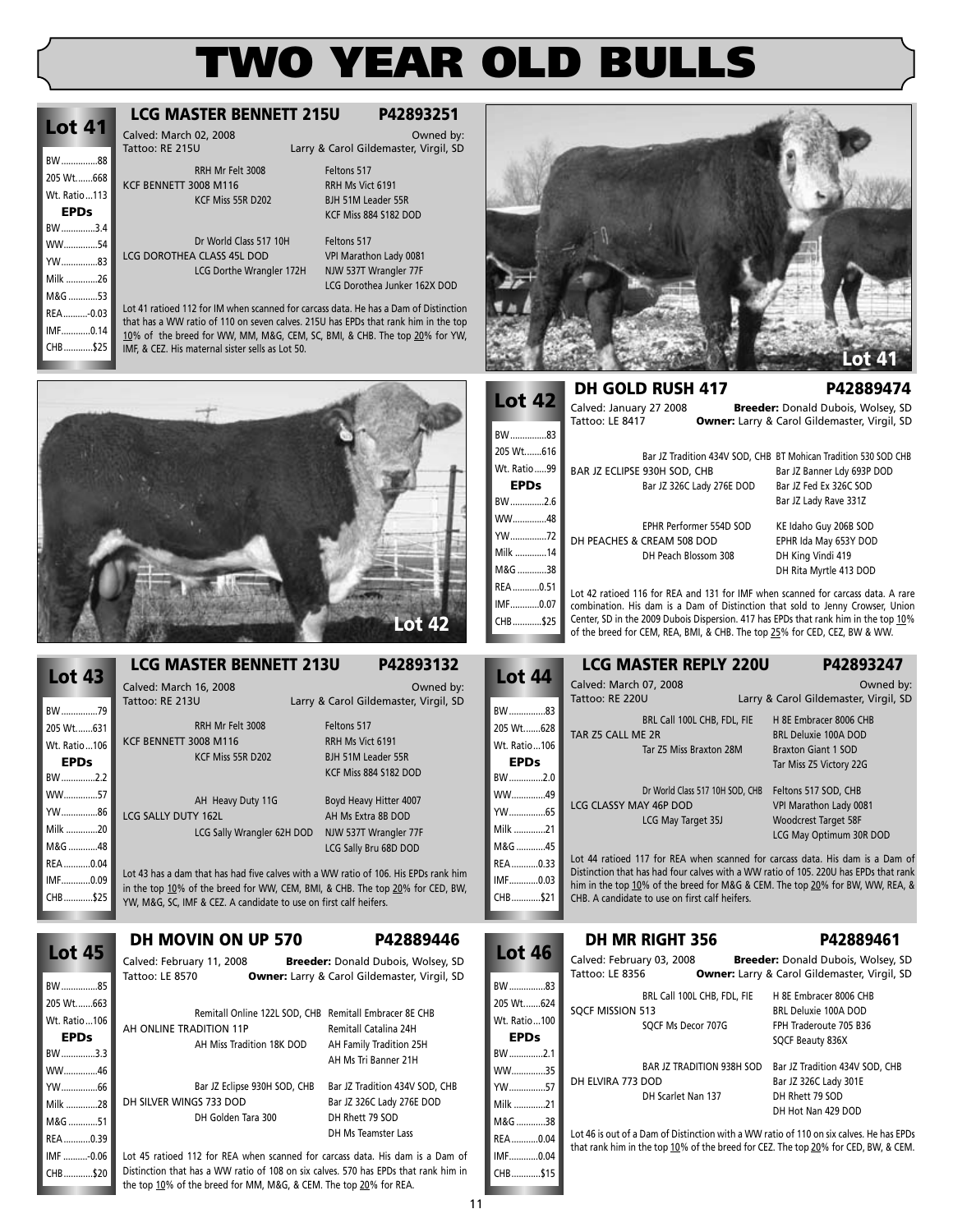| BW88<br>205 Wt668                        | RRH Mr Felt 3008                                                                                                                                                                                                                                                                                             | Feltons 517                                                                    |                                             |                                                                                                                                                                                                                     |                            |
|------------------------------------------|--------------------------------------------------------------------------------------------------------------------------------------------------------------------------------------------------------------------------------------------------------------------------------------------------------------|--------------------------------------------------------------------------------|---------------------------------------------|---------------------------------------------------------------------------------------------------------------------------------------------------------------------------------------------------------------------|----------------------------|
| Wt. Ratio113<br><b>EPDs</b>              | KCF BENNETT 3008 M116<br>KCF Miss 55R D202                                                                                                                                                                                                                                                                   | RRH Ms Vict 6191<br>BJH 51M Leader 55R<br>KCF Miss 884 S182 DOD                |                                             |                                                                                                                                                                                                                     |                            |
| BW3.4<br>WW54<br>YW83<br>Milk 26         | Dr World Class 517 10H<br>LCG DOROTHEA CLASS 45L DOD<br>LCG Dorthe Wrangler 172H                                                                                                                                                                                                                             | Feltons 517<br>VPI Marathon Lady 0081<br>NJW 537T Wrangler 77F                 |                                             |                                                                                                                                                                                                                     |                            |
| M&G 53<br>REA-0.03<br>IMF0.14<br>CHB\$25 | Lot 41 ratioed 112 for IM when scanned for carcass data. He has a Dam of Distinction<br>that has a WW ratio of 110 on seven calves. 2150 has EPDs that rank him in the top<br>10% of the breed for WW, MM, M&G, CEM, SC, BMI, & CHB. The top 20% for YW,<br>IMF, & CEZ. His maternal sister sells as Lot 50. | LCG Dorothea Junker 162X DOD                                                   |                                             |                                                                                                                                                                                                                     |                            |
|                                          |                                                                                                                                                                                                                                                                                                              |                                                                                | <b>Lot 42</b>                               | <b>DH GOLD RUSH 417</b><br>Calved: January 27 2008                                                                                                                                                                  | <b>Breeder:</b>            |
|                                          |                                                                                                                                                                                                                                                                                                              |                                                                                | BW83<br>205 Wt616                           | Tattoo: LE 8417<br>Bar JZ Tradition 434V SOD, CHB B1                                                                                                                                                                | <b>Owner:</b> Larry & C    |
|                                          |                                                                                                                                                                                                                                                                                                              |                                                                                | Wt. Ratio99<br><b>EPDs</b><br>BW2.6<br>WW48 | BAR JZ ECLIPSE 930H SOD, CHB<br>Bar JZ 326C Lady 276E DOD                                                                                                                                                           | B<br>B<br>B                |
|                                          |                                                                                                                                                                                                                                                                                                              |                                                                                | YW72<br>Milk 14<br>M&G 38                   | EPHR Performer 554D SOD<br>DH PEACHES & CREAM 508 DOD<br>DH Peach Blossom 308                                                                                                                                       | K<br>EF<br>D<br>D          |
|                                          |                                                                                                                                                                                                                                                                                                              | <b>Lot 42</b>                                                                  | REA0.51<br>IMF0.07<br>CHB\$25               | Lot 42 ratioed 116 for REA and 131 for IMF when :<br>combination. His dam is a Dam of Distinction tha<br>Center, SD in the 2009 Dubois Dispersion. 417 has EP<br>of the breed for CEM, REA, BMI, & CHB. The top 259 |                            |
| <b>Lot 43</b>                            | <b>LCG MASTER BENNETT 213U</b>                                                                                                                                                                                                                                                                               | P42893132                                                                      | <b>Lot 44</b>                               | <b>LCG MASTER REPLY 220U</b><br>Calved: March 07, 2008                                                                                                                                                              |                            |
| BW79                                     | Calved: March 16, 2008<br>Tattoo: RE 213U                                                                                                                                                                                                                                                                    | Owned by:<br>Larry & Carol Gildemaster, Virgil, SD                             | BW83                                        | Tattoo: RE 220U                                                                                                                                                                                                     | Larry & C                  |
| 205 Wt631<br>Wt. Ratio106<br><b>EPDs</b> | RRH Mr Felt 3008<br>KCF BENNETT 3008 M116<br>KCF Miss 55R D202                                                                                                                                                                                                                                               | Feltons 517<br>RRH Ms Vict 6191<br>BJH 51M Leader 55R<br>KCF Miss 884 S182 DOD | 205 Wt628<br>Wt. Ratio106<br><b>EPDs</b>    | BRL Call 100L CHB, FDL, FIE<br>TAR Z5 CALL ME 2R<br>Tar Z5 Miss Braxton 28M                                                                                                                                         | H<br><b>BR</b><br>Br<br>Ta |
| BW2.2<br>WW57<br>YW86<br>Milk 20         | AH Heavy Duty 11G<br>LCG SALLY DUTY 162L                                                                                                                                                                                                                                                                     | Boyd Heavy Hitter 4007<br>AH Ms Extra 8B DOD                                   | BW2.0<br>WW49<br>YW65<br>Milk 21            | Dr World Class 517 10H SOD, CHB<br>LCG CLASSY MAY 46P DOD<br>LCG May Target 35J                                                                                                                                     | Fel<br>VP<br><b>W</b>      |
| M&G 48<br>REA0.04                        | LCG Sally Wrangler 62H DOD<br>Lot 43 has a dam that has had five calves with a WW ratio of 106. His EPDs rank him                                                                                                                                                                                            | NJW 537T Wrangler 77F<br>LCG Sally Bru 68D DOD                                 | M&G 45<br>REA0.33                           | Lot 44 ratioed 117 for REA when scanned for care<br>Distinction that has had four calves with a WW ratio                                                                                                            | LC                         |
| IMF0.09<br>CHB\$25                       | in the top 10% of the breed for WW, CEM, BMI, & CHB. The top 20% for CED, BW,<br>YW, M&G, SC, IMF & CEZ. A candidate to use on first calf heifers.                                                                                                                                                           |                                                                                | IMF0.03<br>CHB\$21                          | him in the top 10% of the breed for M&G & CEM. TI<br>CHB. A candidate to use on first calf heifers.                                                                                                                 |                            |
|                                          | DH MOVIN ON UP 570                                                                                                                                                                                                                                                                                           | P42889446                                                                      |                                             | <b>DH MR RIGHT 356</b>                                                                                                                                                                                              |                            |
| <b>Lot 45</b>                            | Calved: February 11, 2008                                                                                                                                                                                                                                                                                    | Breeder: Donald Dubois, Wolsey, SD                                             | <b>Lot 46</b>                               | Calved: February 03, 2008                                                                                                                                                                                           | <b>Breeder:</b>            |

| BW85         |
|--------------|
| 205 Wt663    |
| Wt. Ratio106 |
| EPDs         |
| BW3.3        |
| WW46         |
| YW66         |
| Milk 28      |
| M&G 51       |
| REA0.39      |
| IMF -0.06    |
| CHB\$20      |

**Lot 41**

Tattoo: LE 8570 **Owner:** Larry & Carol Gildemaster, Virgil, SD Remitall Online 122L SOD, CHB Remitall Embracer 8E CHB

AH Ms Tri Banner 21H

DH Ms Teamster Lass

**LCG MASTER BENNETT 215U P42893251** Calved: March 02, 2008<br>Tattoo: RE 215U **Calvess Carol** Larry & Carol Gildemaster. Virgil. SD

Larry & Carol Gildemaster, Virgil, SD

AH ONLINE TRADITION 11P Remitall Catalina 24H AH Miss Tradition 18K DOD AH Family Tradition 25H

Bar JZ Eclipse 930H SOD, CHB Bar JZ Tradition 434V SOD, CHB DH SILVER WINGS 733 DOD Bar JZ 326C Lady 276E DOD DH Golden Tara 300 DH Rhett 79 SOD

Lot 45 ratioed 112 for REA when scanned for carcass data. His dam is a Dam of Distinction that has a WW ratio of 108 on six calves. 570 has EPDs that rank him in the top 10% of the breed for MM, M&G, & CEM. The top 20% for REA.

**Lot 41 DH GOLD RUSH 417 P42889474** Donald Dubois, Wolsey, SD arol Gildemaster, Virgil, SD

T Mohican Tradition 530 SOD CHB ar JZ Banner Ldy 693P DOD ar JZ Fed Ex 326C SOD ar JZ Lady Rave 331Z E Idaho Guy 206B SOD PHR Ida May 653Y DOD ر<br>H King Vindi 419 H Rita Myrtle 413 DOD

scanned for carcass data. A rare at sold to Jenny Crowser, Union Ds that rank him in the top 10% % for CED, CEZ, BW & WW.

|             | <b>LCG MASTER REPLY 220U</b>    | P42893247                                                                            |
|-------------|---------------------------------|--------------------------------------------------------------------------------------|
| ot 44       | Calved: March 07, 2008          | Owned by:                                                                            |
|             | Tattoo: RE 220U                 | Larry & Carol Gildemaster, Virgil, SD                                                |
| 83          | BRL Call 100L CHB, FDL, FIE     | H 8E Embracer 8006 CHB                                                               |
| Wt628       | TAR Z5 CALL ME 2R               | <b>BRL Deluxie 100A DOD</b>                                                          |
| Ratio106    | Tar Z5 Miss Braxton 28M         | <b>Braxton Giant 1 SOD</b>                                                           |
| <b>EPDs</b> |                                 | Tar Miss Z5 Victory 22G                                                              |
| 2.0         |                                 |                                                                                      |
| /49         | Dr World Class 517 10H SOD, CHB | Feltons 517 SOD, CHB                                                                 |
| 65          | LCG CLASSY MAY 46P DOD          | VPI Marathon Lady 0081                                                               |
|             | LCG May Target 35J              | <b>Woodcrest Target 58F</b>                                                          |
| G 45        |                                 | LCG May Optimum 30R DOD                                                              |
|             |                                 | Lot 44 ratioed 117 for REA when scanned for carcass data. His dam is a Dam of        |
|             |                                 | Distinction that has had four calves with a WW ratio of 105. 220U has EPDs that rank |
| n no        |                                 |                                                                                      |

Distinction that has had four calves with a WW ratio of 105. 220U has EPDs that rank he top 20% for BW, WW, REA, &

|                          |                           | <b>DH MR RIGHT 356</b>           | P42889461                                                                               |
|--------------------------|---------------------------|----------------------------------|-----------------------------------------------------------------------------------------|
| <b>Lot 46</b>            | Calved: February 03, 2008 |                                  | <b>Breeder:</b> Donald Dubois, Wolsey, SD                                               |
|                          | Tattoo: LE 8356           |                                  | <b>Owner:</b> Larry & Carol Gildemaster, Virgil, SD                                     |
| BW83                     |                           | BRL Call 100L CHB, FDL, FIE      | H 8E Embracer 8006 CHB                                                                  |
| 205 Wt624                | SOCF MISSION 513          |                                  | BRL Deluxie 100A DOD                                                                    |
| Wt. Ratio100             |                           | SOCF Ms Decor 707G               | FPH Traderoute 705 B36                                                                  |
| <b>EPDs</b>              |                           |                                  | SQCF Beauty 836X                                                                        |
| BW2.1                    |                           |                                  |                                                                                         |
| WW35                     |                           | <b>BAR JZ TRADITION 938H SOD</b> | Bar JZ Tradition 434V SOD, CHB                                                          |
| YW57                     | DH ELVIRA 773 DOD         |                                  | Bar JZ 326C Lady 301E                                                                   |
| Milk 21                  |                           | DH Scarlet Nan 137               | DH Rhett 79 SOD                                                                         |
|                          |                           |                                  | DH Hot Nan 429 DOD                                                                      |
| M&G 38                   |                           |                                  | Lot 46 is out of a Dam of Distinction with a WW ratio of 110 on six calves. He has EPDs |
| REA0.04                  |                           |                                  | that rank him in the top 10% of the breed for CEZ. The top 20% for CED, BW, & CEM.      |
| <b>IN APROVE</b><br>0.04 |                           |                                  |                                                                                         |

 $REA...$ IMF............0.04 CHB............\$15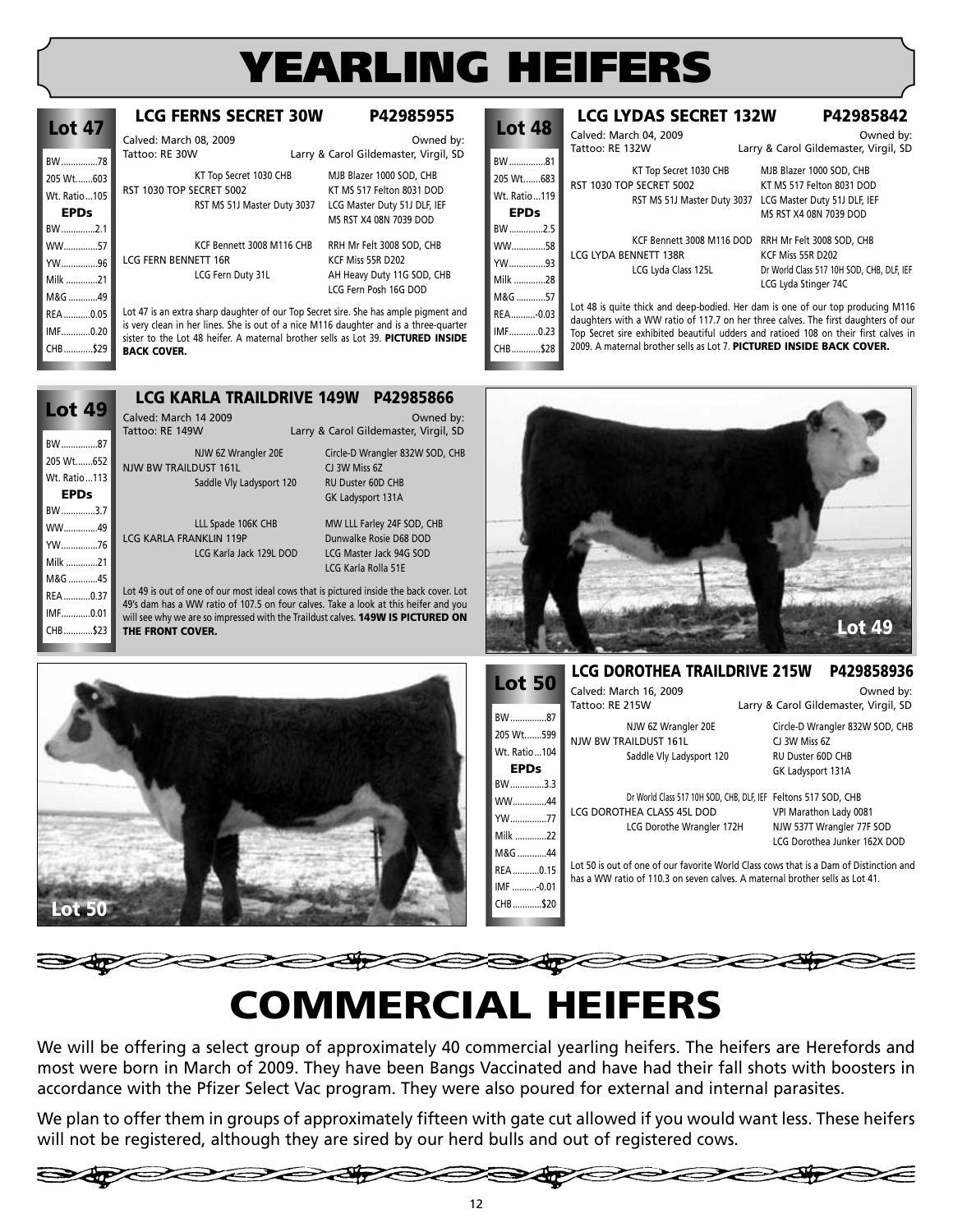# **YEARLING HEIFERS**

| <b>Lot 47</b> | <b>LCG FERNS SECRET 30W</b>                                                                                                                                               | P42985955                             |
|---------------|---------------------------------------------------------------------------------------------------------------------------------------------------------------------------|---------------------------------------|
|               | Calved: March 08, 2009                                                                                                                                                    | Owned by:                             |
| BW78          | Tattoo: RE 30W                                                                                                                                                            | Larry & Carol Gildemaster, Virgil, SD |
| 205 Wt603     | KT Top Secret 1030 CHB                                                                                                                                                    | MJB Blazer 1000 SOD, CHB              |
| Wt. Ratio105  | <b>RST 1030 TOP SECRET 5002</b>                                                                                                                                           | KT MS 517 Felton 8031 DOD             |
| <b>EPDs</b>   | RST MS 51J Master Duty 3037                                                                                                                                               | LCG Master Duty 51J DLF, IEF          |
| BW2.1         |                                                                                                                                                                           | MS RST X4 08N 7039 DOD                |
| WW57          | KCF Bennett 3008 M116 CHB                                                                                                                                                 | RRH Mr Felt 3008 SOD, CHB             |
| YW96          | LCG FERN BENNETT 16R                                                                                                                                                      | KCF Miss 55R D202                     |
| Milk 21       | LCG Fern Duty 31L                                                                                                                                                         | AH Heavy Duty 11G SOD, CHB            |
| M&G 49        |                                                                                                                                                                           | LCG Fern Posh 16G DOD                 |
| REA0.05       | Lot 47 is an extra sharp daughter of our Top Secret sire. She has ample pigment and                                                                                       |                                       |
| IMF0.20       | is very clean in her lines. She is out of a nice M116 daughter and is a three-quarter<br>sister to the Lot 48 heifer. A maternal brother sells as Lot 39. PICTURED INSIDE |                                       |
| CHB\$29       | <b>BACK COVER.</b>                                                                                                                                                        |                                       |

|                | <b>LCG LYDAS SECRET 132W</b>                                         | P42985842                                                                           |
|----------------|----------------------------------------------------------------------|-------------------------------------------------------------------------------------|
| <b>Lot 48</b>  | Calved: March 04, 2009                                               | Owned by:                                                                           |
|                | Tattoo: RE 132W                                                      | Larry & Carol Gildemaster, Virgil, SD                                               |
| BW81           | KT Top Secret 1030 CHB                                               | MJB Blazer 1000 SOD, CHB                                                            |
| 205 Wt683      | <b>RST 1030 TOP SECRET 5002</b>                                      | KT MS 517 Felton 8031 DOD                                                           |
| Wt. Ratio  119 | RST MS 51J Master Duty 3037                                          | LCG Master Duty 51J DLF, IEF                                                        |
| <b>EPDs</b>    |                                                                      | MS RST X4 08N 7039 DOD                                                              |
| BW2.5          |                                                                      |                                                                                     |
| WW58           | KCF Bennett 3008 M116 DOD                                            | RRH Mr Felt 3008 SOD, CHB                                                           |
| YW93           | LCG LYDA BENNETT 138R                                                | KCF Miss 55R D202                                                                   |
| Milk 28        | LCG Lyda Class 125L                                                  | Dr World Class 517 10H SOD, CHB, DLF, IEF                                           |
|                |                                                                      | LCG Lyda Stinger 74C                                                                |
| M&G 57         |                                                                      | Lot 48 is quite thick and deep-bodied. Her dam is one of our top producing M116     |
| REA-0.03       |                                                                      | daughters with a WW ratio of 117.7 on her three calves. The first daughters of our  |
| IMF0.23        |                                                                      | Top Secret sire exhibited beautiful udders and ratioed 108 on their first calves in |
| CHB\$28        | 2009. A maternal brother sells as Lot 7. PICTURED INSIDE BACK COVER. |                                                                                     |

|               | <b>LCG KARLA TRAILDRIVE 149W</b> | P42985866                                                                               |
|---------------|----------------------------------|-----------------------------------------------------------------------------------------|
| <b>Lot 49</b> | Calved: March 14 2009            | Owned by:                                                                               |
|               | Tattoo: RE 149W                  | Larry & Carol Gildemaster, Virgil, SD                                                   |
| BW87          | NJW 6Z Wrangler 20E              | Circle-D Wrangler 832W SOD, CHB                                                         |
| 205 Wt652     | <b>NJW BW TRAILDUST 161L</b>     | CJ 3W Miss 6Z                                                                           |
| Wt. Ratio113  | Saddle Vly Ladysport 120         | <b>RU Duster 60D CHB</b>                                                                |
| <b>EPDs</b>   |                                  | GK Ladysport 131A                                                                       |
| BW3.7         |                                  |                                                                                         |
| WW49          | LLL Spade 106K CHB               | MW LLL Farley 24F SOD, CHB                                                              |
| YW76          | <b>LCG KARLA FRANKLIN 119P</b>   | Dunwalke Rosie D68 DOD                                                                  |
| Milk 21       | LCG Karla Jack 129L DOD          | LCG Master Jack 94G SOD                                                                 |
|               |                                  | LCG Karla Rolla 51E                                                                     |
| M&G 45        |                                  | Lot 49 is out of one of our most ideal cows that is pictured inside the back cover. Lot |
| REA0.37       |                                  | 49's dam has a WW ratio of 107.5 on four calves. Take a look at this heifer and you     |
| IMF0.01       |                                  | will see why we are so impressed with the Traildust calves. 149W IS PICTURED ON         |
| CHB\$23       | THE FRONT COVER.                 |                                                                                         |





| <b>Lot 50</b>                                    | <b>LCG DOROTHEA TRAILDRIVE 215W</b>                                                                | P429858936                                                                                                                                            |
|--------------------------------------------------|----------------------------------------------------------------------------------------------------|-------------------------------------------------------------------------------------------------------------------------------------------------------|
|                                                  | Calved: March 16, 2009                                                                             | Owned by:                                                                                                                                             |
| BW87<br>205 Wt599<br>Wt. Ratio104<br><b>EPDs</b> | Tattoo: RE 215W<br>NJW 6Z Wrangler 20E<br><b>NJW BW TRAILDUST 161L</b><br>Saddle Vly Ladysport 120 | Larry & Carol Gildemaster, Virgil, SD<br>Circle-D Wrangler 832W SOD, CHB<br>CJ 3W Miss 6Z<br>RU Duster 60D CHB<br>GK Ladysport 131A                   |
| BW3.3<br>WW44<br>YW77<br>Milk 22<br>M&G 44       | LCG DOROTHEA CLASS 45L DOD<br>LCG Dorothe Wrangler 172H                                            | Dr World Class 517 10H SOD, CHB, DLF, IEF Feltons 517 SOD, CHB<br>VPI Marathon Lady 0081<br>NJW 537T Wrangler 77F SOD<br>LCG Dorothea Junker 162X DOD |
| REA0.15<br>IMF -0.01<br>CHB\$20                  | has a WW ratio of 110.3 on seven calves. A maternal brother sells as Lot 41.                       | Lot 50 is out of one of our favorite World Class cows that is a Dam of Distinction and                                                                |

# **COMMERCIAL HEIFERS**

We will be offering a select group of approximately 40 commercial yearling heifers. The heifers are Herefords and most were born in March of 2009. They have been Bangs Vaccinated and have had their fall shots with boosters in accordance with the Pfizer Select Vac program. They were also poured for external and internal parasites.

We plan to offer them in groups of approximately fifteen with gate cut allowed if you would want less. These heifers will not be registered, although they are sired by our herd bulls and out of registered cows.



**SAPS**